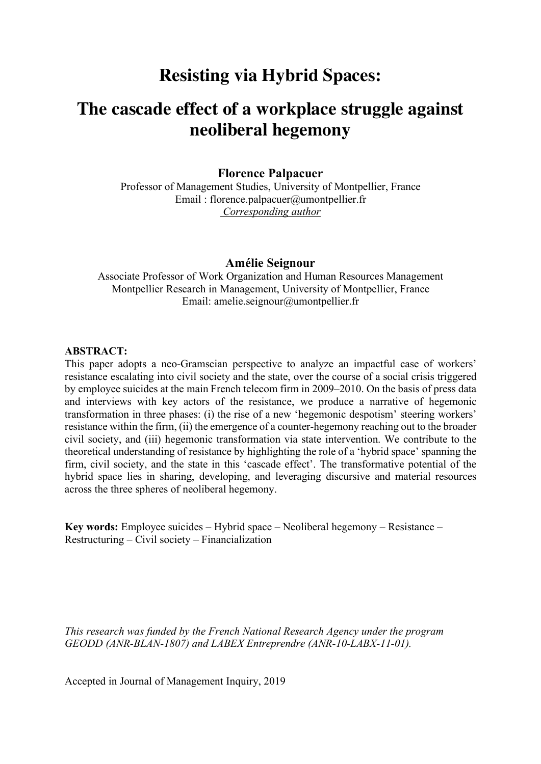# **Resisting via Hybrid Spaces:**

# **The cascade effect of a workplace struggle against neoliberal hegemony**

**Florence Palpacuer**

Professor of Management Studies, University of Montpellier, France Email : florence.palpacuer@umontpellier.fr *Corresponding author*

#### **Amélie Seignour**

Associate Professor of Work Organization and Human Resources Management Montpellier Research in Management, University of Montpellier, France Email: amelie.seignour@umontpellier.fr

#### **ABSTRACT:**

This paper adopts a neo-Gramscian perspective to analyze an impactful case of workers' resistance escalating into civil society and the state, over the course of a social crisis triggered by employee suicides at the main French telecom firm in 2009–2010. On the basis of press data and interviews with key actors of the resistance, we produce a narrative of hegemonic transformation in three phases: (i) the rise of a new 'hegemonic despotism' steering workers' resistance within the firm, (ii) the emergence of a counter-hegemony reaching out to the broader civil society, and (iii) hegemonic transformation via state intervention. We contribute to the theoretical understanding of resistance by highlighting the role of a 'hybrid space' spanning the firm, civil society, and the state in this 'cascade effect'. The transformative potential of the hybrid space lies in sharing, developing, and leveraging discursive and material resources across the three spheres of neoliberal hegemony.

**Key words:** Employee suicides – Hybrid space – Neoliberal hegemony – Resistance – Restructuring – Civil society – Financialization

*This research was funded by the French National Research Agency under the program GEODD (ANR-BLAN-1807) and LABEX Entreprendre (ANR-10-LABX-11-01).*

Accepted in Journal of Management Inquiry, 2019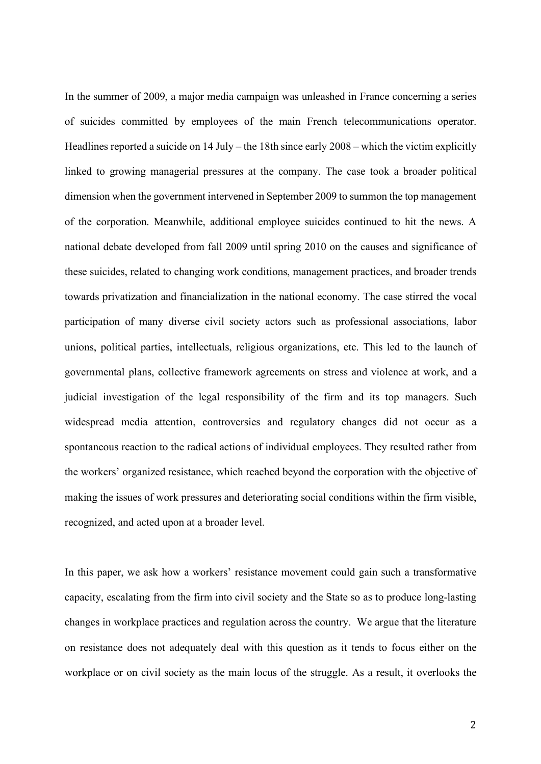In the summer of 2009, a major media campaign was unleashed in France concerning a series of suicides committed by employees of the main French telecommunications operator. Headlines reported a suicide on 14 July – the 18th since early 2008 – which the victim explicitly linked to growing managerial pressures at the company. The case took a broader political dimension when the government intervened in September 2009 to summon the top management of the corporation. Meanwhile, additional employee suicides continued to hit the news. A national debate developed from fall 2009 until spring 2010 on the causes and significance of these suicides, related to changing work conditions, management practices, and broader trends towards privatization and financialization in the national economy. The case stirred the vocal participation of many diverse civil society actors such as professional associations, labor unions, political parties, intellectuals, religious organizations, etc. This led to the launch of governmental plans, collective framework agreements on stress and violence at work, and a judicial investigation of the legal responsibility of the firm and its top managers. Such widespread media attention, controversies and regulatory changes did not occur as a spontaneous reaction to the radical actions of individual employees. They resulted rather from the workers' organized resistance, which reached beyond the corporation with the objective of making the issues of work pressures and deteriorating social conditions within the firm visible, recognized, and acted upon at a broader level.

In this paper, we ask how a workers' resistance movement could gain such a transformative capacity, escalating from the firm into civil society and the State so as to produce long-lasting changes in workplace practices and regulation across the country. We argue that the literature on resistance does not adequately deal with this question as it tends to focus either on the workplace or on civil society as the main locus of the struggle. As a result, it overlooks the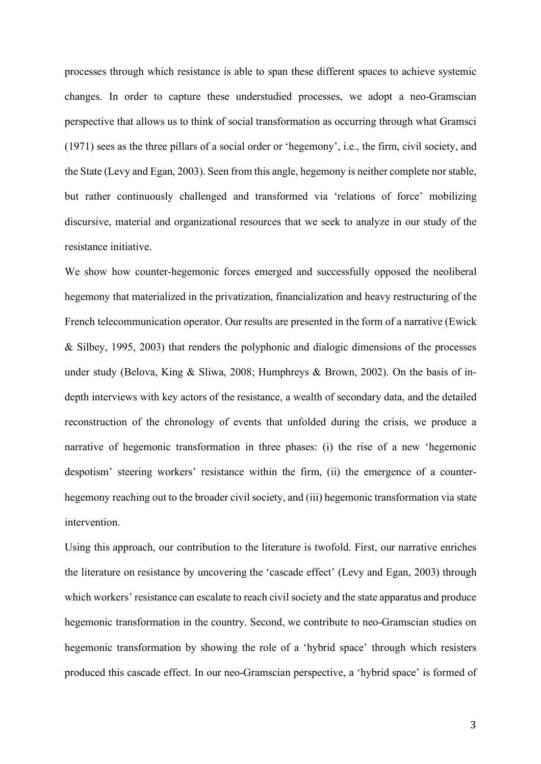processes through which resistance is able to span these different spaces to achieve systemic changes. In order to capture these understudied processes, we adopt a neo-Gramscian perspective that allows us to think of social transformation as occurring through what Gramsci (1971) sees as the three pillars of a social order or 'hegemony', i.e., the firm, civil society, and the State (Levy and Egan, 2003). Seen from this angle, hegemony is neither complete nor stable, but rather continuously challenged and transformed via 'relations of force' mobilizing discursive, material and organizational resources that we seek to analyze in our study of the resistance initiative.

We show how counter-hegemonic forces emerged and successfully opposed the neoliberal hegemony that materialized in the privatization, financialization and heavy restructuring of the French telecommunication operator. Our results are presented in the form of a narrative (Ewick & Silbey, 1995, 2003) that renders the polyphonic and dialogic dimensions of the processes under study (Belova, King & Sliwa, 2008; Humphreys & Brown, 2002). On the basis of indepth interviews with key actors of the resistance, a wealth of secondary data, and the detailed reconstruction of the chronology of events that unfolded during the crisis, we produce a narrative of hegemonic transformation in three phases: (i) the rise of a new 'hegemonic despotism' steering workers' resistance within the firm, (ii) the emergence of a counterhegemony reaching out to the broader civil society, and (iii) hegemonic transformation via state intervention.

Using this approach, our contribution to the literature is twofold. First, our narrative enriches the literature on resistance by uncovering the 'cascade effect' (Levy and Egan, 2003) through which workers' resistance can escalate to reach civil society and the state apparatus and produce hegemonic transformation in the country. Second, we contribute to neo-Gramscian studies on hegemonic transformation by showing the role of a 'hybrid space' through which resisters produced this cascade effect. In our neo-Gramscian perspective, a 'hybrid space' is formed of

3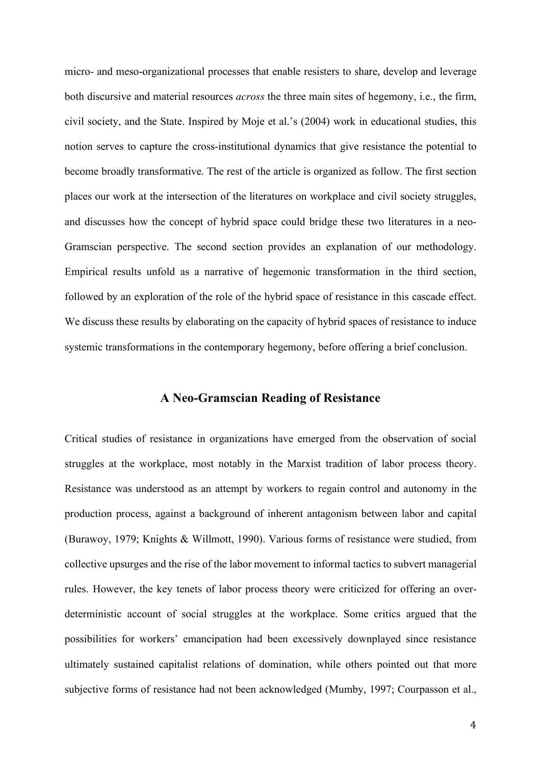micro- and meso-organizational processes that enable resisters to share, develop and leverage both discursive and material resources *across* the three main sites of hegemony, i.e., the firm, civil society, and the State. Inspired by Moje et al.'s (2004) work in educational studies, this notion serves to capture the cross-institutional dynamics that give resistance the potential to become broadly transformative. The rest of the article is organized as follow. The first section places our work at the intersection of the literatures on workplace and civil society struggles, and discusses how the concept of hybrid space could bridge these two literatures in a neo-Gramscian perspective. The second section provides an explanation of our methodology. Empirical results unfold as a narrative of hegemonic transformation in the third section, followed by an exploration of the role of the hybrid space of resistance in this cascade effect. We discuss these results by elaborating on the capacity of hybrid spaces of resistance to induce systemic transformations in the contemporary hegemony, before offering a brief conclusion.

#### **A Neo-Gramscian Reading of Resistance**

Critical studies of resistance in organizations have emerged from the observation of social struggles at the workplace, most notably in the Marxist tradition of labor process theory. Resistance was understood as an attempt by workers to regain control and autonomy in the production process, against a background of inherent antagonism between labor and capital (Burawoy, 1979; Knights & Willmott, 1990). Various forms of resistance were studied, from collective upsurges and the rise of the labor movement to informal tactics to subvert managerial rules. However, the key tenets of labor process theory were criticized for offering an overdeterministic account of social struggles at the workplace. Some critics argued that the possibilities for workers' emancipation had been excessively downplayed since resistance ultimately sustained capitalist relations of domination, while others pointed out that more subjective forms of resistance had not been acknowledged (Mumby, 1997; Courpasson et al.,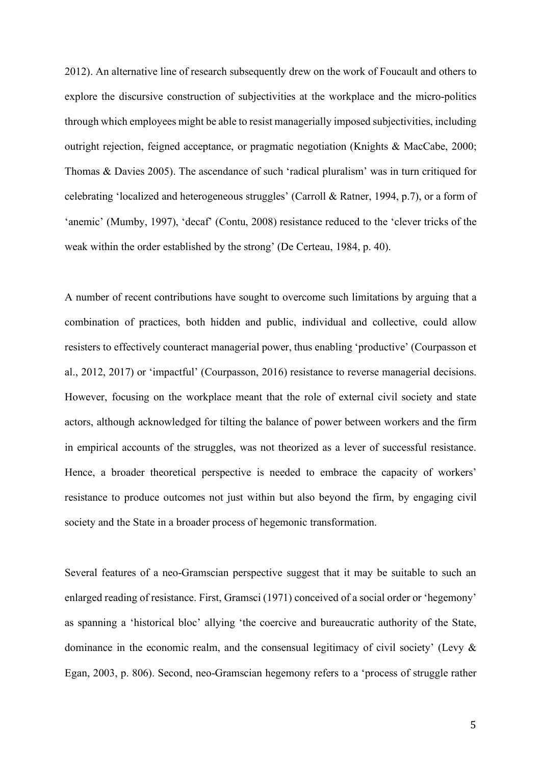2012). An alternative line of research subsequently drew on the work of Foucault and others to explore the discursive construction of subjectivities at the workplace and the micro-politics through which employees might be able to resist managerially imposed subjectivities, including outright rejection, feigned acceptance, or pragmatic negotiation (Knights & MacCabe, 2000; Thomas & Davies 2005). The ascendance of such 'radical pluralism' was in turn critiqued for celebrating 'localized and heterogeneous struggles' (Carroll & Ratner, 1994, p.7), or a form of 'anemic' (Mumby, 1997), 'decaf' (Contu, 2008) resistance reduced to the 'clever tricks of the weak within the order established by the strong' (De Certeau, 1984, p. 40).

A number of recent contributions have sought to overcome such limitations by arguing that a combination of practices, both hidden and public, individual and collective, could allow resisters to effectively counteract managerial power, thus enabling 'productive' (Courpasson et al., 2012, 2017) or 'impactful' (Courpasson, 2016) resistance to reverse managerial decisions. However, focusing on the workplace meant that the role of external civil society and state actors, although acknowledged for tilting the balance of power between workers and the firm in empirical accounts of the struggles, was not theorized as a lever of successful resistance. Hence, a broader theoretical perspective is needed to embrace the capacity of workers' resistance to produce outcomes not just within but also beyond the firm, by engaging civil society and the State in a broader process of hegemonic transformation.

Several features of a neo-Gramscian perspective suggest that it may be suitable to such an enlarged reading of resistance. First, Gramsci (1971) conceived of a social order or 'hegemony' as spanning a 'historical bloc' allying 'the coercive and bureaucratic authority of the State, dominance in the economic realm, and the consensual legitimacy of civil society' (Levy & Egan, 2003, p. 806). Second, neo-Gramscian hegemony refers to a 'process of struggle rather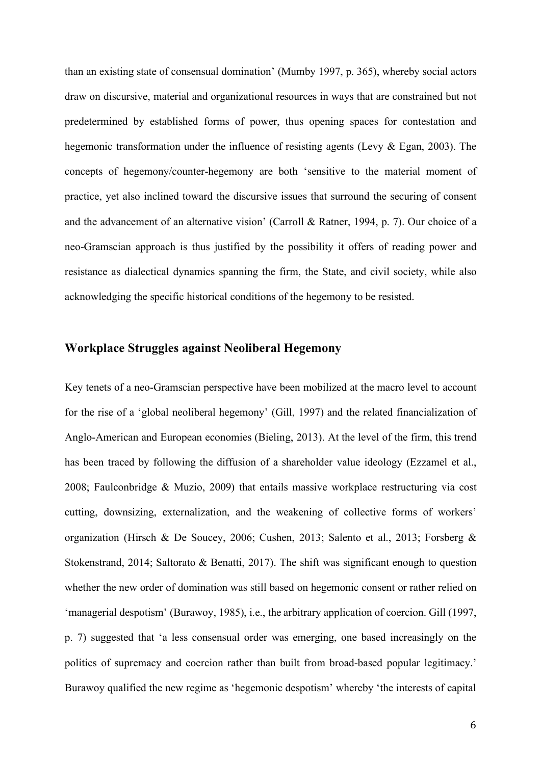than an existing state of consensual domination' (Mumby 1997, p. 365), whereby social actors draw on discursive, material and organizational resources in ways that are constrained but not predetermined by established forms of power, thus opening spaces for contestation and hegemonic transformation under the influence of resisting agents (Levy & Egan, 2003). The concepts of hegemony/counter-hegemony are both 'sensitive to the material moment of practice, yet also inclined toward the discursive issues that surround the securing of consent and the advancement of an alternative vision' (Carroll & Ratner, 1994, p. 7). Our choice of a neo-Gramscian approach is thus justified by the possibility it offers of reading power and resistance as dialectical dynamics spanning the firm, the State, and civil society, while also acknowledging the specific historical conditions of the hegemony to be resisted.

## **Workplace Struggles against Neoliberal Hegemony**

Key tenets of a neo-Gramscian perspective have been mobilized at the macro level to account for the rise of a 'global neoliberal hegemony' (Gill, 1997) and the related financialization of Anglo-American and European economies (Bieling, 2013). At the level of the firm, this trend has been traced by following the diffusion of a shareholder value ideology (Ezzamel et al., 2008; Faulconbridge & Muzio, 2009) that entails massive workplace restructuring via cost cutting, downsizing, externalization, and the weakening of collective forms of workers' organization (Hirsch & De Soucey, 2006; Cushen, 2013; Salento et al., 2013; Forsberg & Stokenstrand, 2014; Saltorato & Benatti, 2017). The shift was significant enough to question whether the new order of domination was still based on hegemonic consent or rather relied on 'managerial despotism' (Burawoy, 1985), i.e., the arbitrary application of coercion. Gill (1997, p. 7) suggested that 'a less consensual order was emerging, one based increasingly on the politics of supremacy and coercion rather than built from broad-based popular legitimacy.' Burawoy qualified the new regime as 'hegemonic despotism' whereby 'the interests of capital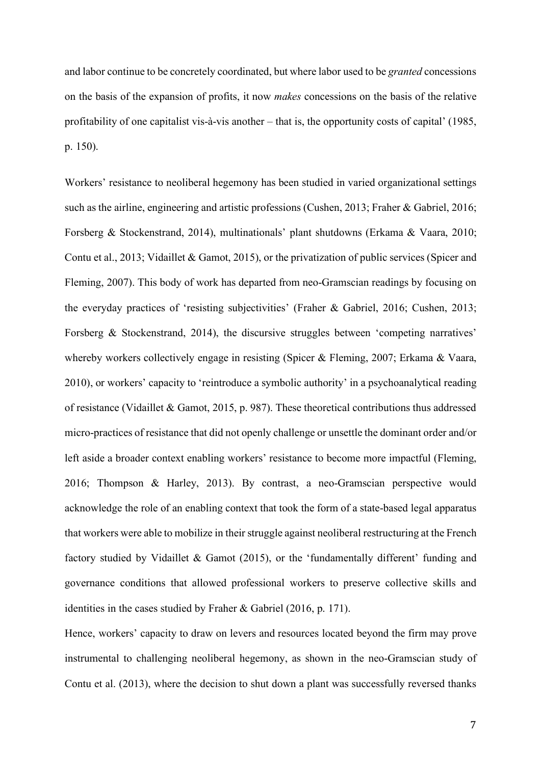and labor continue to be concretely coordinated, but where labor used to be *granted* concessions on the basis of the expansion of profits, it now *makes* concessions on the basis of the relative profitability of one capitalist vis-à-vis another – that is, the opportunity costs of capital' (1985, p. 150).

Workers' resistance to neoliberal hegemony has been studied in varied organizational settings such as the airline, engineering and artistic professions (Cushen, 2013; Fraher & Gabriel, 2016; Forsberg & Stockenstrand, 2014), multinationals' plant shutdowns (Erkama & Vaara, 2010; Contu et al., 2013; Vidaillet & Gamot, 2015), or the privatization of public services (Spicer and Fleming, 2007). This body of work has departed from neo-Gramscian readings by focusing on the everyday practices of 'resisting subjectivities' (Fraher & Gabriel, 2016; Cushen, 2013; Forsberg & Stockenstrand, 2014), the discursive struggles between 'competing narratives' whereby workers collectively engage in resisting (Spicer & Fleming, 2007; Erkama & Vaara, 2010), or workers' capacity to 'reintroduce a symbolic authority' in a psychoanalytical reading of resistance (Vidaillet & Gamot, 2015, p. 987). These theoretical contributions thus addressed micro-practices of resistance that did not openly challenge or unsettle the dominant order and/or left aside a broader context enabling workers' resistance to become more impactful (Fleming, 2016; Thompson & Harley, 2013). By contrast, a neo-Gramscian perspective would acknowledge the role of an enabling context that took the form of a state-based legal apparatus that workers were able to mobilize in their struggle against neoliberal restructuring at the French factory studied by Vidaillet & Gamot (2015), or the 'fundamentally different' funding and governance conditions that allowed professional workers to preserve collective skills and identities in the cases studied by Fraher & Gabriel (2016, p. 171).

Hence, workers' capacity to draw on levers and resources located beyond the firm may prove instrumental to challenging neoliberal hegemony, as shown in the neo-Gramscian study of Contu et al. (2013), where the decision to shut down a plant was successfully reversed thanks

7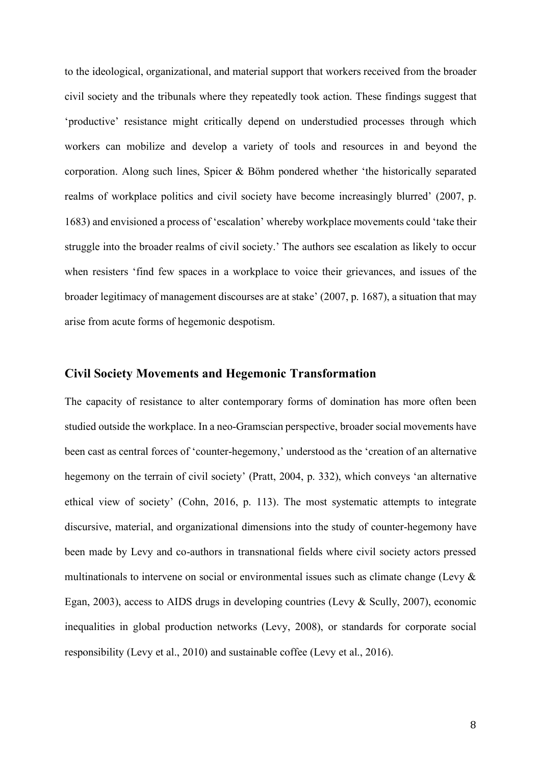to the ideological, organizational, and material support that workers received from the broader civil society and the tribunals where they repeatedly took action. These findings suggest that 'productive' resistance might critically depend on understudied processes through which workers can mobilize and develop a variety of tools and resources in and beyond the corporation. Along such lines, Spicer & Böhm pondered whether 'the historically separated realms of workplace politics and civil society have become increasingly blurred' (2007, p. 1683) and envisioned a process of 'escalation' whereby workplace movements could 'take their struggle into the broader realms of civil society.' The authors see escalation as likely to occur when resisters 'find few spaces in a workplace to voice their grievances, and issues of the broader legitimacy of management discourses are at stake' (2007, p. 1687), a situation that may arise from acute forms of hegemonic despotism.

## **Civil Society Movements and Hegemonic Transformation**

The capacity of resistance to alter contemporary forms of domination has more often been studied outside the workplace. In a neo-Gramscian perspective, broader social movements have been cast as central forces of 'counter-hegemony,' understood as the 'creation of an alternative hegemony on the terrain of civil society' (Pratt, 2004, p. 332), which conveys 'an alternative ethical view of society' (Cohn, 2016, p. 113). The most systematic attempts to integrate discursive, material, and organizational dimensions into the study of counter-hegemony have been made by Levy and co-authors in transnational fields where civil society actors pressed multinationals to intervene on social or environmental issues such as climate change (Levy & Egan, 2003), access to AIDS drugs in developing countries (Levy & Scully, 2007), economic inequalities in global production networks (Levy, 2008), or standards for corporate social responsibility (Levy et al., 2010) and sustainable coffee (Levy et al., 2016).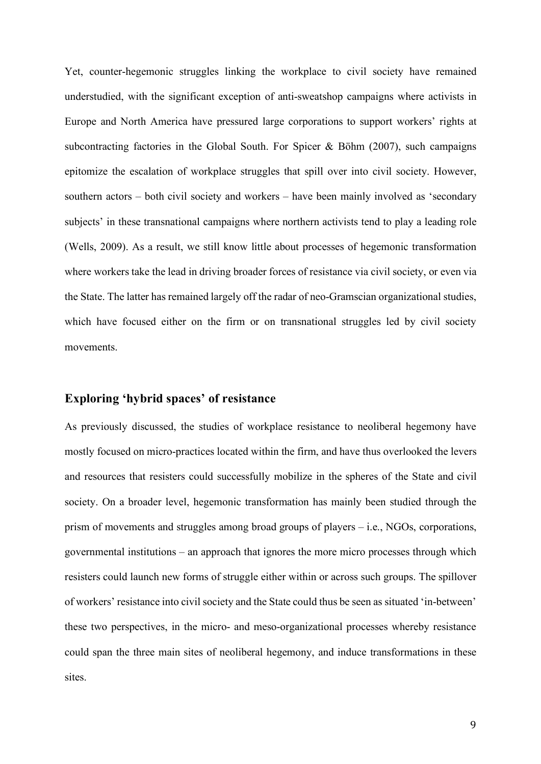Yet, counter-hegemonic struggles linking the workplace to civil society have remained understudied, with the significant exception of anti-sweatshop campaigns where activists in Europe and North America have pressured large corporations to support workers' rights at subcontracting factories in the Global South. For Spicer  $\&$  Böhm (2007), such campaigns epitomize the escalation of workplace struggles that spill over into civil society. However, southern actors – both civil society and workers – have been mainly involved as 'secondary subjects' in these transnational campaigns where northern activists tend to play a leading role (Wells, 2009). As a result, we still know little about processes of hegemonic transformation where workers take the lead in driving broader forces of resistance via civil society, or even via the State. The latter has remained largely off the radar of neo-Gramscian organizational studies, which have focused either on the firm or on transnational struggles led by civil society movements.

## **Exploring 'hybrid spaces' of resistance**

As previously discussed, the studies of workplace resistance to neoliberal hegemony have mostly focused on micro-practices located within the firm, and have thus overlooked the levers and resources that resisters could successfully mobilize in the spheres of the State and civil society. On a broader level, hegemonic transformation has mainly been studied through the prism of movements and struggles among broad groups of players  $-$  i.e., NGOs, corporations, governmental institutions – an approach that ignores the more micro processes through which resisters could launch new forms of struggle either within or across such groups. The spillover of workers' resistance into civil society and the State could thus be seen as situated 'in-between' these two perspectives, in the micro- and meso-organizational processes whereby resistance could span the three main sites of neoliberal hegemony, and induce transformations in these sites.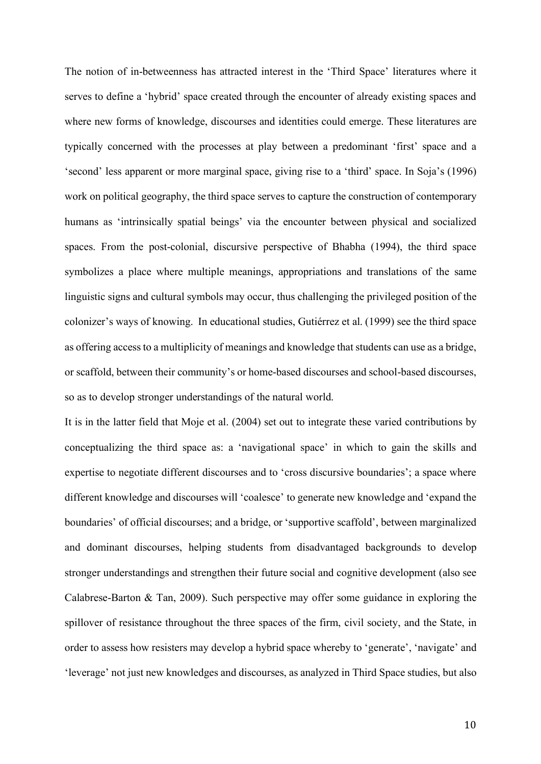The notion of in-betweenness has attracted interest in the 'Third Space' literatures where it serves to define a 'hybrid' space created through the encounter of already existing spaces and where new forms of knowledge, discourses and identities could emerge. These literatures are typically concerned with the processes at play between a predominant 'first' space and a 'second' less apparent or more marginal space, giving rise to a 'third' space. In Soja's (1996) work on political geography, the third space serves to capture the construction of contemporary humans as 'intrinsically spatial beings' via the encounter between physical and socialized spaces. From the post-colonial, discursive perspective of Bhabha (1994), the third space symbolizes a place where multiple meanings, appropriations and translations of the same linguistic signs and cultural symbols may occur, thus challenging the privileged position of the colonizer's ways of knowing. In educational studies, Gutiérrez et al. (1999) see the third space as offering access to a multiplicity of meanings and knowledge that students can use as a bridge, or scaffold, between their community's or home-based discourses and school-based discourses, so as to develop stronger understandings of the natural world.

It is in the latter field that Moje et al. (2004) set out to integrate these varied contributions by conceptualizing the third space as: a 'navigational space' in which to gain the skills and expertise to negotiate different discourses and to 'cross discursive boundaries'; a space where different knowledge and discourses will 'coalesce' to generate new knowledge and 'expand the boundaries' of official discourses; and a bridge, or 'supportive scaffold', between marginalized and dominant discourses, helping students from disadvantaged backgrounds to develop stronger understandings and strengthen their future social and cognitive development (also see Calabrese-Barton & Tan, 2009). Such perspective may offer some guidance in exploring the spillover of resistance throughout the three spaces of the firm, civil society, and the State, in order to assess how resisters may develop a hybrid space whereby to 'generate', 'navigate' and 'leverage' not just new knowledges and discourses, as analyzed in Third Space studies, but also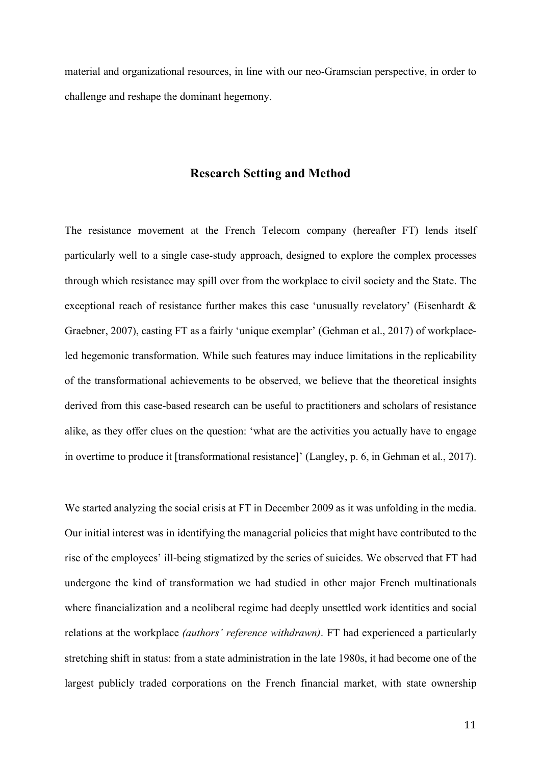material and organizational resources, in line with our neo-Gramscian perspective, in order to challenge and reshape the dominant hegemony.

## **Research Setting and Method**

The resistance movement at the French Telecom company (hereafter FT) lends itself particularly well to a single case-study approach, designed to explore the complex processes through which resistance may spill over from the workplace to civil society and the State. The exceptional reach of resistance further makes this case 'unusually revelatory' (Eisenhardt & Graebner, 2007), casting FT as a fairly 'unique exemplar' (Gehman et al., 2017) of workplaceled hegemonic transformation. While such features may induce limitations in the replicability of the transformational achievements to be observed, we believe that the theoretical insights derived from this case-based research can be useful to practitioners and scholars of resistance alike, as they offer clues on the question: 'what are the activities you actually have to engage in overtime to produce it [transformational resistance]' (Langley, p. 6, in Gehman et al., 2017).

We started analyzing the social crisis at FT in December 2009 as it was unfolding in the media. Our initial interest was in identifying the managerial policies that might have contributed to the rise of the employees' ill-being stigmatized by the series of suicides. We observed that FT had undergone the kind of transformation we had studied in other major French multinationals where financialization and a neoliberal regime had deeply unsettled work identities and social relations at the workplace *(authors' reference withdrawn)*. FT had experienced a particularly stretching shift in status: from a state administration in the late 1980s, it had become one of the largest publicly traded corporations on the French financial market, with state ownership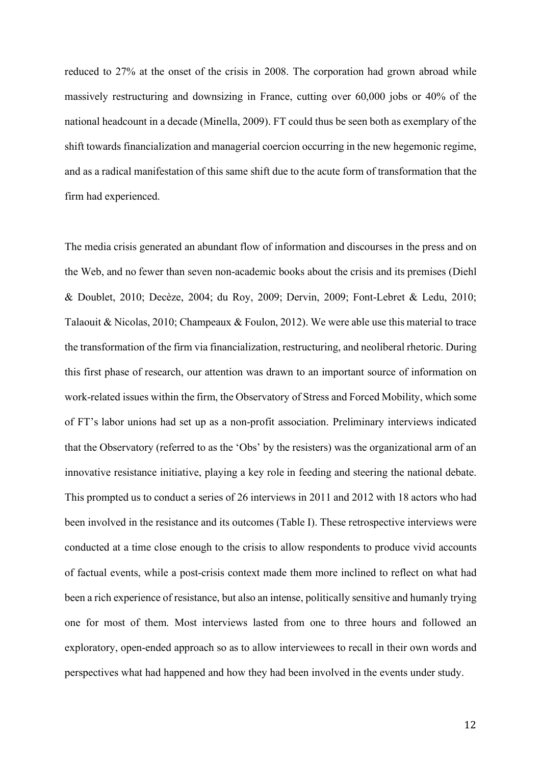reduced to 27% at the onset of the crisis in 2008. The corporation had grown abroad while massively restructuring and downsizing in France, cutting over 60,000 jobs or 40% of the national headcount in a decade (Minella, 2009). FT could thus be seen both as exemplary of the shift towards financialization and managerial coercion occurring in the new hegemonic regime, and as a radical manifestation of this same shift due to the acute form of transformation that the firm had experienced.

The media crisis generated an abundant flow of information and discourses in the press and on the Web, and no fewer than seven non-academic books about the crisis and its premises (Diehl & Doublet, 2010; Decèze, 2004; du Roy, 2009; Dervin, 2009; Font-Lebret & Ledu, 2010; Talaouit & Nicolas, 2010; Champeaux & Foulon, 2012). We were able use this material to trace the transformation of the firm via financialization, restructuring, and neoliberal rhetoric. During this first phase of research, our attention was drawn to an important source of information on work-related issues within the firm, the Observatory of Stress and Forced Mobility, which some of FT's labor unions had set up as a non-profit association. Preliminary interviews indicated that the Observatory (referred to as the 'Obs' by the resisters) was the organizational arm of an innovative resistance initiative, playing a key role in feeding and steering the national debate. This prompted us to conduct a series of 26 interviews in 2011 and 2012 with 18 actors who had been involved in the resistance and its outcomes (Table I). These retrospective interviews were conducted at a time close enough to the crisis to allow respondents to produce vivid accounts of factual events, while a post-crisis context made them more inclined to reflect on what had been a rich experience of resistance, but also an intense, politically sensitive and humanly trying one for most of them. Most interviews lasted from one to three hours and followed an exploratory, open-ended approach so as to allow interviewees to recall in their own words and perspectives what had happened and how they had been involved in the events under study.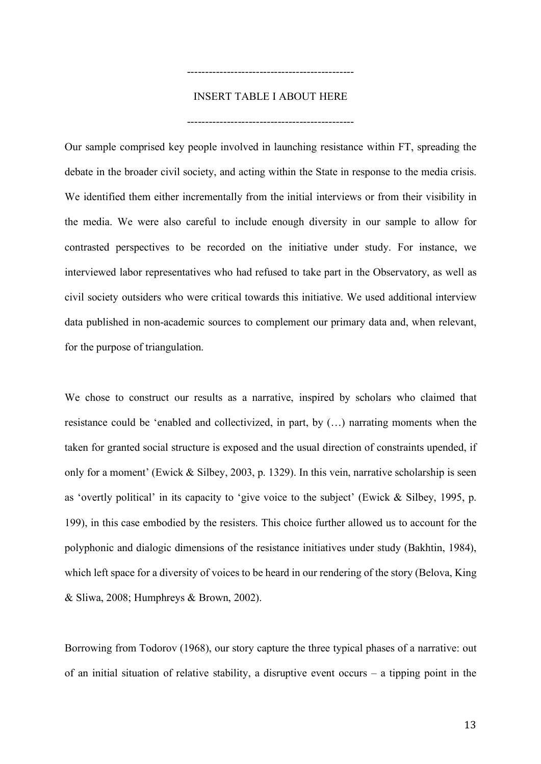## INSERT TABLE I ABOUT HERE

----------------------------------------------

----------------------------------------------

Our sample comprised key people involved in launching resistance within FT, spreading the debate in the broader civil society, and acting within the State in response to the media crisis. We identified them either incrementally from the initial interviews or from their visibility in the media. We were also careful to include enough diversity in our sample to allow for contrasted perspectives to be recorded on the initiative under study. For instance, we interviewed labor representatives who had refused to take part in the Observatory, as well as civil society outsiders who were critical towards this initiative. We used additional interview data published in non-academic sources to complement our primary data and, when relevant, for the purpose of triangulation.

We chose to construct our results as a narrative, inspired by scholars who claimed that resistance could be 'enabled and collectivized, in part, by (…) narrating moments when the taken for granted social structure is exposed and the usual direction of constraints upended, if only for a moment' (Ewick & Silbey, 2003, p. 1329). In this vein, narrative scholarship is seen as 'overtly political' in its capacity to 'give voice to the subject' (Ewick & Silbey, 1995, p. 199), in this case embodied by the resisters. This choice further allowed us to account for the polyphonic and dialogic dimensions of the resistance initiatives under study (Bakhtin, 1984), which left space for a diversity of voices to be heard in our rendering of the story (Belova, King & Sliwa, 2008; Humphreys & Brown, 2002).

Borrowing from Todorov (1968), our story capture the three typical phases of a narrative: out of an initial situation of relative stability, a disruptive event occurs – a tipping point in the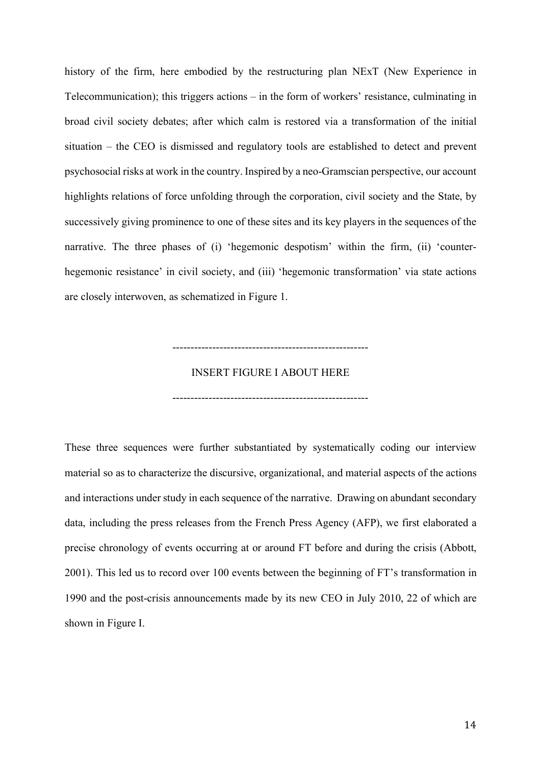history of the firm, here embodied by the restructuring plan NExT (New Experience in Telecommunication); this triggers actions – in the form of workers' resistance, culminating in broad civil society debates; after which calm is restored via a transformation of the initial situation – the CEO is dismissed and regulatory tools are established to detect and prevent psychosocial risks at work in the country. Inspired by a neo-Gramscian perspective, our account highlights relations of force unfolding through the corporation, civil society and the State, by successively giving prominence to one of these sites and its key players in the sequences of the narrative. The three phases of (i) 'hegemonic despotism' within the firm, (ii) 'counterhegemonic resistance' in civil society, and (iii) 'hegemonic transformation' via state actions are closely interwoven, as schematized in Figure 1.

## INSERT FIGURE I ABOUT HERE

------------------------------------------------------

------------------------------------------------------

These three sequences were further substantiated by systematically coding our interview material so as to characterize the discursive, organizational, and material aspects of the actions and interactions under study in each sequence of the narrative. Drawing on abundant secondary data, including the press releases from the French Press Agency (AFP), we first elaborated a precise chronology of events occurring at or around FT before and during the crisis (Abbott, 2001). This led us to record over 100 events between the beginning of FT's transformation in 1990 and the post-crisis announcements made by its new CEO in July 2010, 22 of which are shown in Figure I.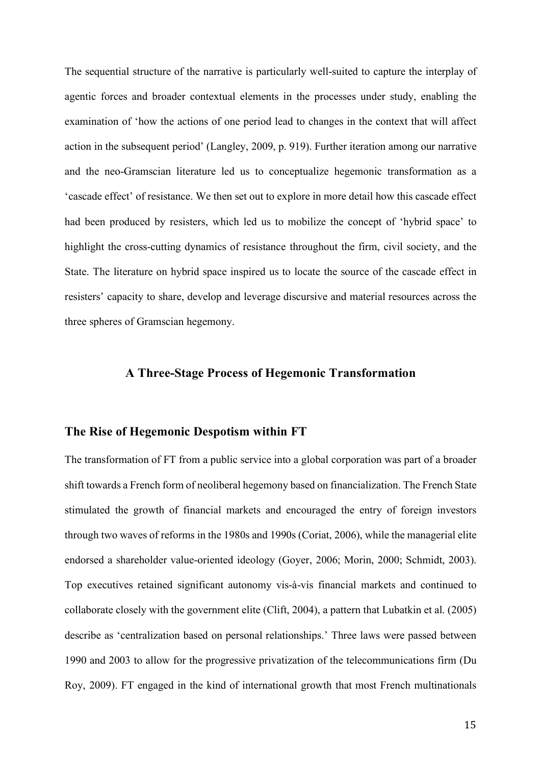The sequential structure of the narrative is particularly well-suited to capture the interplay of agentic forces and broader contextual elements in the processes under study, enabling the examination of 'how the actions of one period lead to changes in the context that will affect action in the subsequent period' (Langley, 2009, p. 919). Further iteration among our narrative and the neo-Gramscian literature led us to conceptualize hegemonic transformation as a 'cascade effect' of resistance. We then set out to explore in more detail how this cascade effect had been produced by resisters, which led us to mobilize the concept of 'hybrid space' to highlight the cross-cutting dynamics of resistance throughout the firm, civil society, and the State. The literature on hybrid space inspired us to locate the source of the cascade effect in resisters' capacity to share, develop and leverage discursive and material resources across the three spheres of Gramscian hegemony.

## **A Three-Stage Process of Hegemonic Transformation**

#### **The Rise of Hegemonic Despotism within FT**

The transformation of FT from a public service into a global corporation was part of a broader shift towards a French form of neoliberal hegemony based on financialization. The French State stimulated the growth of financial markets and encouraged the entry of foreign investors through two waves of reforms in the 1980s and 1990s (Coriat, 2006), while the managerial elite endorsed a shareholder value-oriented ideology (Goyer, 2006; Morin, 2000; Schmidt, 2003). Top executives retained significant autonomy vis-à-vis financial markets and continued to collaborate closely with the government elite (Clift, 2004), a pattern that Lubatkin et al. (2005) describe as 'centralization based on personal relationships.' Three laws were passed between 1990 and 2003 to allow for the progressive privatization of the telecommunications firm (Du Roy, 2009). FT engaged in the kind of international growth that most French multinationals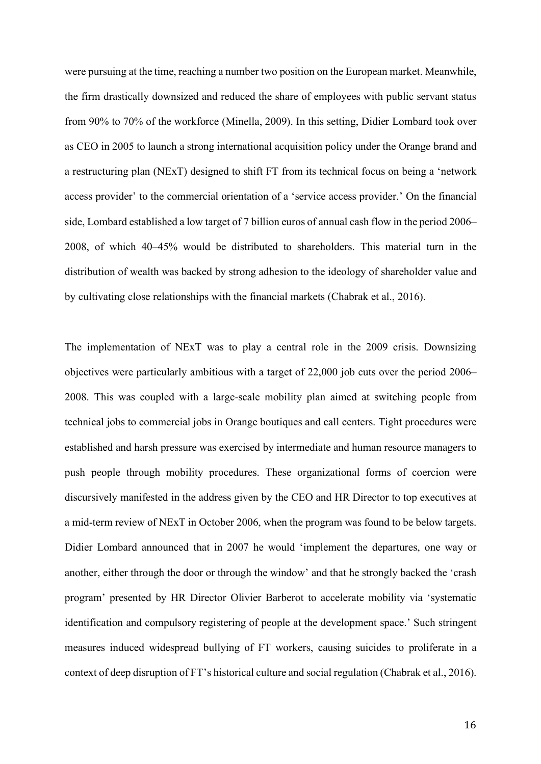were pursuing at the time, reaching a number two position on the European market. Meanwhile, the firm drastically downsized and reduced the share of employees with public servant status from 90% to 70% of the workforce (Minella, 2009). In this setting, Didier Lombard took over as CEO in 2005 to launch a strong international acquisition policy under the Orange brand and a restructuring plan (NExT) designed to shift FT from its technical focus on being a 'network access provider' to the commercial orientation of a 'service access provider.' On the financial side, Lombard established a low target of 7 billion euros of annual cash flow in the period 2006– 2008, of which 40–45% would be distributed to shareholders. This material turn in the distribution of wealth was backed by strong adhesion to the ideology of shareholder value and by cultivating close relationships with the financial markets (Chabrak et al., 2016).

The implementation of NExT was to play a central role in the 2009 crisis. Downsizing objectives were particularly ambitious with a target of 22,000 job cuts over the period 2006– 2008. This was coupled with a large-scale mobility plan aimed at switching people from technical jobs to commercial jobs in Orange boutiques and call centers. Tight procedures were established and harsh pressure was exercised by intermediate and human resource managers to push people through mobility procedures. These organizational forms of coercion were discursively manifested in the address given by the CEO and HR Director to top executives at a mid-term review of NExT in October 2006, when the program was found to be below targets. Didier Lombard announced that in 2007 he would 'implement the departures, one way or another, either through the door or through the window' and that he strongly backed the 'crash program' presented by HR Director Olivier Barberot to accelerate mobility via 'systematic identification and compulsory registering of people at the development space.' Such stringent measures induced widespread bullying of FT workers, causing suicides to proliferate in a context of deep disruption of FT's historical culture and social regulation (Chabrak et al., 2016).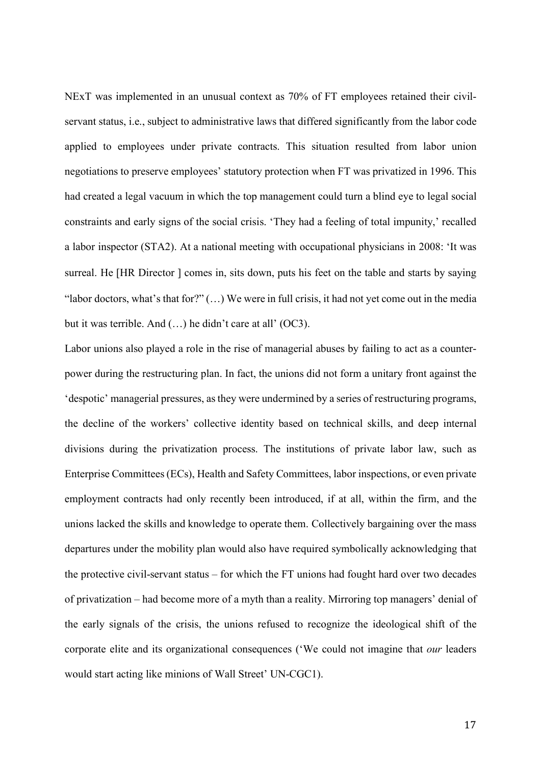NExT was implemented in an unusual context as 70% of FT employees retained their civilservant status, i.e., subject to administrative laws that differed significantly from the labor code applied to employees under private contracts. This situation resulted from labor union negotiations to preserve employees' statutory protection when FT was privatized in 1996. This had created a legal vacuum in which the top management could turn a blind eye to legal social constraints and early signs of the social crisis. 'They had a feeling of total impunity,' recalled a labor inspector (STA2). At a national meeting with occupational physicians in 2008: 'It was surreal. He [HR Director ] comes in, sits down, puts his feet on the table and starts by saying "labor doctors, what's that for?" (…) We were in full crisis, it had not yet come out in the media but it was terrible. And (…) he didn't care at all' (OC3).

Labor unions also played a role in the rise of managerial abuses by failing to act as a counterpower during the restructuring plan. In fact, the unions did not form a unitary front against the 'despotic' managerial pressures, as they were undermined by a series of restructuring programs, the decline of the workers' collective identity based on technical skills, and deep internal divisions during the privatization process. The institutions of private labor law, such as Enterprise Committees (ECs), Health and Safety Committees, labor inspections, or even private employment contracts had only recently been introduced, if at all, within the firm, and the unions lacked the skills and knowledge to operate them. Collectively bargaining over the mass departures under the mobility plan would also have required symbolically acknowledging that the protective civil-servant status – for which the FT unions had fought hard over two decades of privatization – had become more of a myth than a reality. Mirroring top managers' denial of the early signals of the crisis, the unions refused to recognize the ideological shift of the corporate elite and its organizational consequences ('We could not imagine that *our* leaders would start acting like minions of Wall Street' UN-CGC1).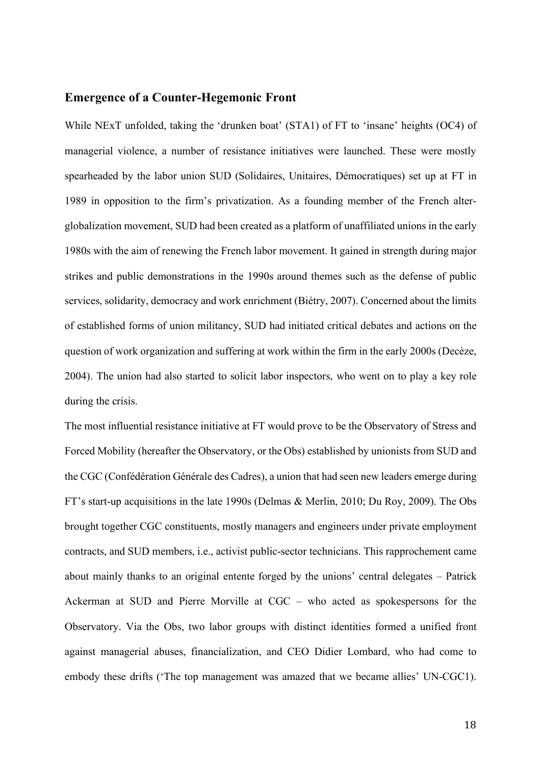## **Emergence of a Counter-Hegemonic Front**

While NExT unfolded, taking the 'drunken boat' (STA1) of FT to 'insane' heights (OC4) of managerial violence, a number of resistance initiatives were launched. These were mostly spearheaded by the labor union SUD (Solidaires, Unitaires, Démocratiques) set up at FT in 1989 in opposition to the firm's privatization. As a founding member of the French alterglobalization movement, SUD had been created as a platform of unaffiliated unions in the early 1980s with the aim of renewing the French labor movement. It gained in strength during major strikes and public demonstrations in the 1990s around themes such as the defense of public services, solidarity, democracy and work enrichment (Biétry, 2007). Concerned about the limits of established forms of union militancy, SUD had initiated critical debates and actions on the question of work organization and suffering at work within the firm in the early 2000s (Decèze, 2004). The union had also started to solicit labor inspectors, who went on to play a key role during the crisis.

The most influential resistance initiative at FT would prove to be the Observatory of Stress and Forced Mobility (hereafter the Observatory, or the Obs) established by unionists from SUD and the CGC (Confédération Générale des Cadres), a union that had seen new leaders emerge during FT's start-up acquisitions in the late 1990s (Delmas & Merlin, 2010; Du Roy, 2009). The Obs brought together CGC constituents, mostly managers and engineers under private employment contracts, and SUD members, i.e., activist public-sector technicians. This rapprochement came about mainly thanks to an original entente forged by the unions' central delegates – Patrick Ackerman at SUD and Pierre Morville at CGC – who acted as spokespersons for the Observatory. Via the Obs, two labor groups with distinct identities formed a unified front against managerial abuses, financialization, and CEO Didier Lombard, who had come to embody these drifts ('The top management was amazed that we became allies' UN-CGC1).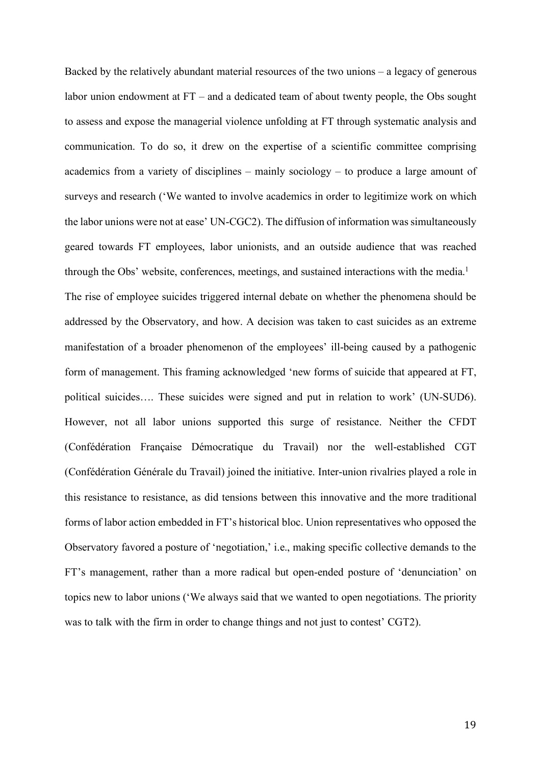Backed by the relatively abundant material resources of the two unions – a legacy of generous labor union endowment at FT – and a dedicated team of about twenty people, the Obs sought to assess and expose the managerial violence unfolding at FT through systematic analysis and communication. To do so, it drew on the expertise of a scientific committee comprising academics from a variety of disciplines – mainly sociology – to produce a large amount of surveys and research ('We wanted to involve academics in order to legitimize work on which the labor unions were not at ease' UN-CGC2). The diffusion of information was simultaneously geared towards FT employees, labor unionists, and an outside audience that was reached through the Obs' website, conferences, meetings, and sustained interactions with the media. 1 The rise of employee suicides triggered internal debate on whether the phenomena should be addressed by the Observatory, and how. A decision was taken to cast suicides as an extreme manifestation of a broader phenomenon of the employees' ill-being caused by a pathogenic form of management. This framing acknowledged 'new forms of suicide that appeared at FT, political suicides…. These suicides were signed and put in relation to work' (UN-SUD6). However, not all labor unions supported this surge of resistance. Neither the CFDT (Confédération Française Démocratique du Travail) nor the well-established CGT (Confédération Générale du Travail) joined the initiative. Inter-union rivalries played a role in this resistance to resistance, as did tensions between this innovative and the more traditional forms of labor action embedded in FT's historical bloc. Union representatives who opposed the Observatory favored a posture of 'negotiation,' i.e., making specific collective demands to the FT's management, rather than a more radical but open-ended posture of 'denunciation' on topics new to labor unions ('We always said that we wanted to open negotiations. The priority was to talk with the firm in order to change things and not just to contest' CGT2).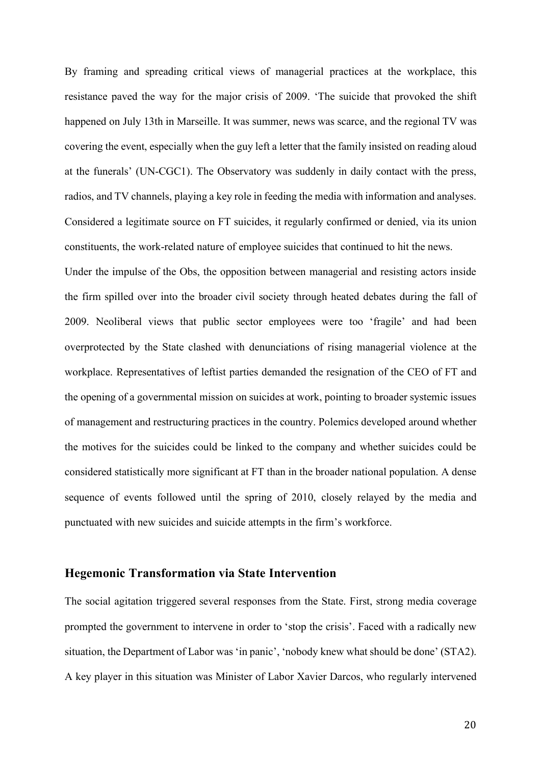By framing and spreading critical views of managerial practices at the workplace, this resistance paved the way for the major crisis of 2009. 'The suicide that provoked the shift happened on July 13th in Marseille. It was summer, news was scarce, and the regional TV was covering the event, especially when the guy left a letter that the family insisted on reading aloud at the funerals' (UN-CGC1). The Observatory was suddenly in daily contact with the press, radios, and TV channels, playing a key role in feeding the media with information and analyses. Considered a legitimate source on FT suicides, it regularly confirmed or denied, via its union constituents, the work-related nature of employee suicides that continued to hit the news.

Under the impulse of the Obs, the opposition between managerial and resisting actors inside the firm spilled over into the broader civil society through heated debates during the fall of 2009. Neoliberal views that public sector employees were too 'fragile' and had been overprotected by the State clashed with denunciations of rising managerial violence at the workplace. Representatives of leftist parties demanded the resignation of the CEO of FT and the opening of a governmental mission on suicides at work, pointing to broader systemic issues of management and restructuring practices in the country. Polemics developed around whether the motives for the suicides could be linked to the company and whether suicides could be considered statistically more significant at FT than in the broader national population. A dense sequence of events followed until the spring of 2010, closely relayed by the media and punctuated with new suicides and suicide attempts in the firm's workforce.

#### **Hegemonic Transformation via State Intervention**

The social agitation triggered several responses from the State. First, strong media coverage prompted the government to intervene in order to 'stop the crisis'. Faced with a radically new situation, the Department of Labor was 'in panic', 'nobody knew what should be done' (STA2). A key player in this situation was Minister of Labor Xavier Darcos, who regularly intervened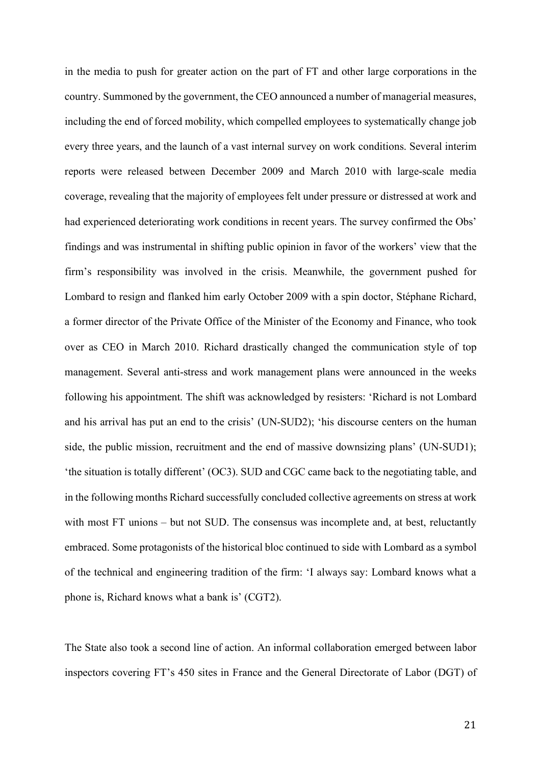in the media to push for greater action on the part of FT and other large corporations in the country. Summoned by the government, the CEO announced a number of managerial measures, including the end of forced mobility, which compelled employees to systematically change job every three years, and the launch of a vast internal survey on work conditions. Several interim reports were released between December 2009 and March 2010 with large-scale media coverage, revealing that the majority of employees felt under pressure or distressed at work and had experienced deteriorating work conditions in recent years. The survey confirmed the Obs' findings and was instrumental in shifting public opinion in favor of the workers' view that the firm's responsibility was involved in the crisis. Meanwhile, the government pushed for Lombard to resign and flanked him early October 2009 with a spin doctor, Stéphane Richard, a former director of the Private Office of the Minister of the Economy and Finance, who took over as CEO in March 2010. Richard drastically changed the communication style of top management. Several anti-stress and work management plans were announced in the weeks following his appointment. The shift was acknowledged by resisters: 'Richard is not Lombard and his arrival has put an end to the crisis' (UN-SUD2); 'his discourse centers on the human side, the public mission, recruitment and the end of massive downsizing plans' (UN-SUD1); 'the situation is totally different' (OC3). SUD and CGC came back to the negotiating table, and in the following months Richard successfully concluded collective agreements on stress at work with most FT unions – but not SUD. The consensus was incomplete and, at best, reluctantly embraced. Some protagonists of the historical bloc continued to side with Lombard as a symbol of the technical and engineering tradition of the firm: 'I always say: Lombard knows what a phone is, Richard knows what a bank is' (CGT2).

The State also took a second line of action. An informal collaboration emerged between labor inspectors covering FT's 450 sites in France and the General Directorate of Labor (DGT) of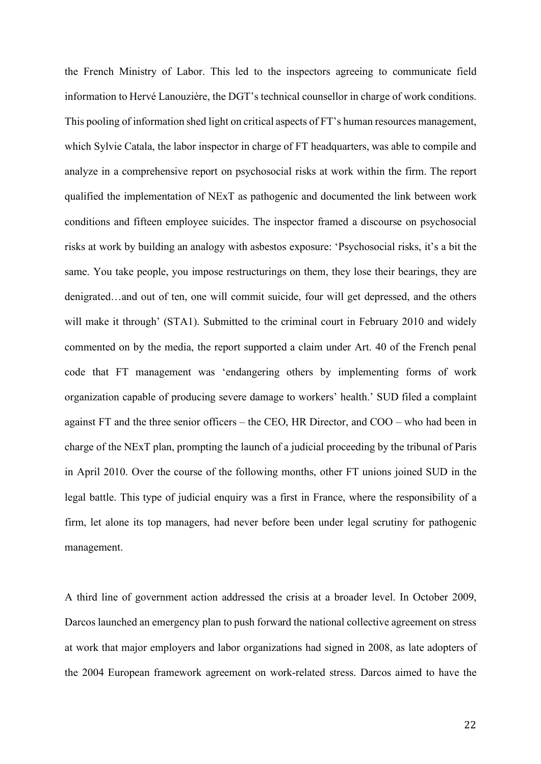the French Ministry of Labor. This led to the inspectors agreeing to communicate field information to Hervé Lanouzière, the DGT's technical counsellor in charge of work conditions. This pooling of information shed light on critical aspects of FT's human resources management, which Sylvie Catala, the labor inspector in charge of FT headquarters, was able to compile and analyze in a comprehensive report on psychosocial risks at work within the firm. The report qualified the implementation of NExT as pathogenic and documented the link between work conditions and fifteen employee suicides. The inspector framed a discourse on psychosocial risks at work by building an analogy with asbestos exposure: 'Psychosocial risks, it's a bit the same. You take people, you impose restructurings on them, they lose their bearings, they are denigrated…and out of ten, one will commit suicide, four will get depressed, and the others will make it through' (STA1). Submitted to the criminal court in February 2010 and widely commented on by the media, the report supported a claim under Art. 40 of the French penal code that FT management was 'endangering others by implementing forms of work organization capable of producing severe damage to workers' health.' SUD filed a complaint against FT and the three senior officers – the CEO, HR Director, and COO – who had been in charge of the NExT plan, prompting the launch of a judicial proceeding by the tribunal of Paris in April 2010. Over the course of the following months, other FT unions joined SUD in the legal battle. This type of judicial enquiry was a first in France, where the responsibility of a firm, let alone its top managers, had never before been under legal scrutiny for pathogenic management.

A third line of government action addressed the crisis at a broader level. In October 2009, Darcos launched an emergency plan to push forward the national collective agreement on stress at work that major employers and labor organizations had signed in 2008, as late adopters of the 2004 European framework agreement on work-related stress. Darcos aimed to have the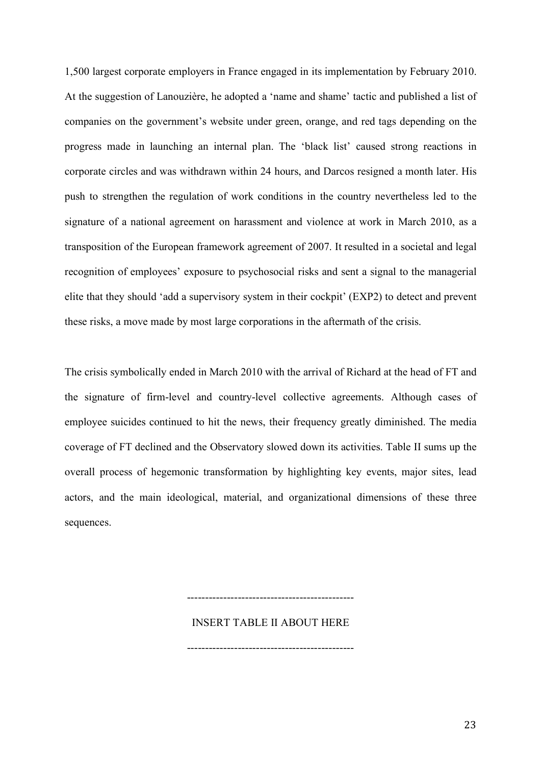1,500 largest corporate employers in France engaged in its implementation by February 2010. At the suggestion of Lanouzière, he adopted a 'name and shame' tactic and published a list of companies on the government's website under green, orange, and red tags depending on the progress made in launching an internal plan. The 'black list' caused strong reactions in corporate circles and was withdrawn within 24 hours, and Darcos resigned a month later. His push to strengthen the regulation of work conditions in the country nevertheless led to the signature of a national agreement on harassment and violence at work in March 2010, as a transposition of the European framework agreement of 2007. It resulted in a societal and legal recognition of employees' exposure to psychosocial risks and sent a signal to the managerial elite that they should 'add a supervisory system in their cockpit' (EXP2) to detect and prevent these risks, a move made by most large corporations in the aftermath of the crisis.

The crisis symbolically ended in March 2010 with the arrival of Richard at the head of FT and the signature of firm-level and country-level collective agreements. Although cases of employee suicides continued to hit the news, their frequency greatly diminished. The media coverage of FT declined and the Observatory slowed down its activities. Table II sums up the overall process of hegemonic transformation by highlighting key events, major sites, lead actors, and the main ideological, material, and organizational dimensions of these three sequences.

> INSERT TABLE II ABOUT HERE ----------------------------------------------

> ----------------------------------------------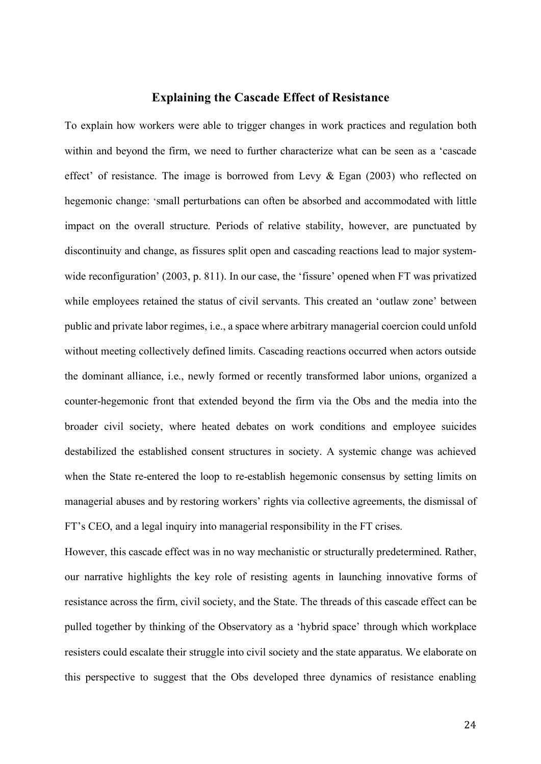#### **Explaining the Cascade Effect of Resistance**

To explain how workers were able to trigger changes in work practices and regulation both within and beyond the firm, we need to further characterize what can be seen as a 'cascade effect' of resistance. The image is borrowed from Levy  $\&$  Egan (2003) who reflected on hegemonic change: 'small perturbations can often be absorbed and accommodated with little impact on the overall structure. Periods of relative stability, however, are punctuated by discontinuity and change, as fissures split open and cascading reactions lead to major systemwide reconfiguration' (2003, p. 811). In our case, the 'fissure' opened when FT was privatized while employees retained the status of civil servants. This created an 'outlaw zone' between public and private labor regimes, i.e., a space where arbitrary managerial coercion could unfold without meeting collectively defined limits. Cascading reactions occurred when actors outside the dominant alliance, i.e., newly formed or recently transformed labor unions, organized a counter-hegemonic front that extended beyond the firm via the Obs and the media into the broader civil society, where heated debates on work conditions and employee suicides destabilized the established consent structures in society. A systemic change was achieved when the State re-entered the loop to re-establish hegemonic consensus by setting limits on managerial abuses and by restoring workers' rights via collective agreements, the dismissal of FT's CEO, and a legal inquiry into managerial responsibility in the FT crises.

However, this cascade effect was in no way mechanistic or structurally predetermined. Rather, our narrative highlights the key role of resisting agents in launching innovative forms of resistance across the firm, civil society, and the State. The threads of this cascade effect can be pulled together by thinking of the Observatory as a 'hybrid space' through which workplace resisters could escalate their struggle into civil society and the state apparatus. We elaborate on this perspective to suggest that the Obs developed three dynamics of resistance enabling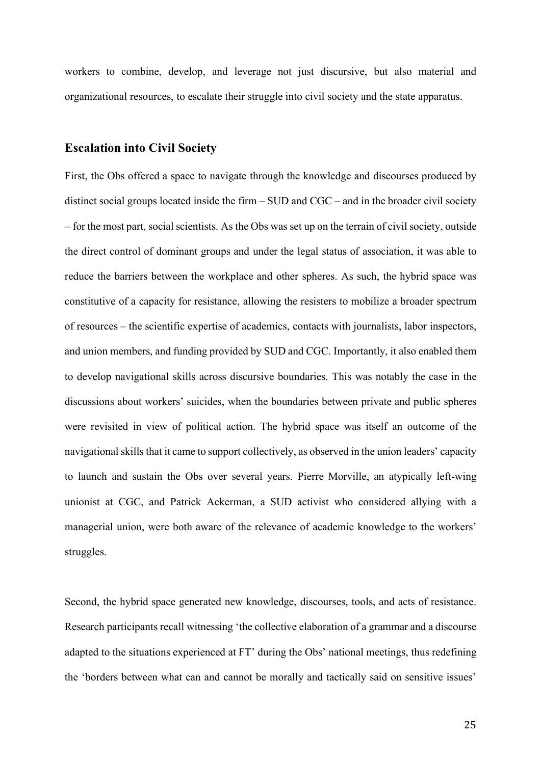workers to combine, develop, and leverage not just discursive, but also material and organizational resources, to escalate their struggle into civil society and the state apparatus.

#### **Escalation into Civil Society**

First, the Obs offered a space to navigate through the knowledge and discourses produced by distinct social groups located inside the firm – SUD and CGC – and in the broader civil society – for the most part, social scientists. As the Obs was set up on the terrain of civil society, outside the direct control of dominant groups and under the legal status of association, it was able to reduce the barriers between the workplace and other spheres. As such, the hybrid space was constitutive of a capacity for resistance, allowing the resisters to mobilize a broader spectrum of resources – the scientific expertise of academics, contacts with journalists, labor inspectors, and union members, and funding provided by SUD and CGC. Importantly, it also enabled them to develop navigational skills across discursive boundaries. This was notably the case in the discussions about workers' suicides, when the boundaries between private and public spheres were revisited in view of political action. The hybrid space was itself an outcome of the navigational skills that it came to support collectively, as observed in the union leaders' capacity to launch and sustain the Obs over several years. Pierre Morville, an atypically left-wing unionist at CGC, and Patrick Ackerman, a SUD activist who considered allying with a managerial union, were both aware of the relevance of academic knowledge to the workers' struggles.

Second, the hybrid space generated new knowledge, discourses, tools, and acts of resistance. Research participants recall witnessing 'the collective elaboration of a grammar and a discourse adapted to the situations experienced at FT' during the Obs' national meetings, thus redefining the 'borders between what can and cannot be morally and tactically said on sensitive issues'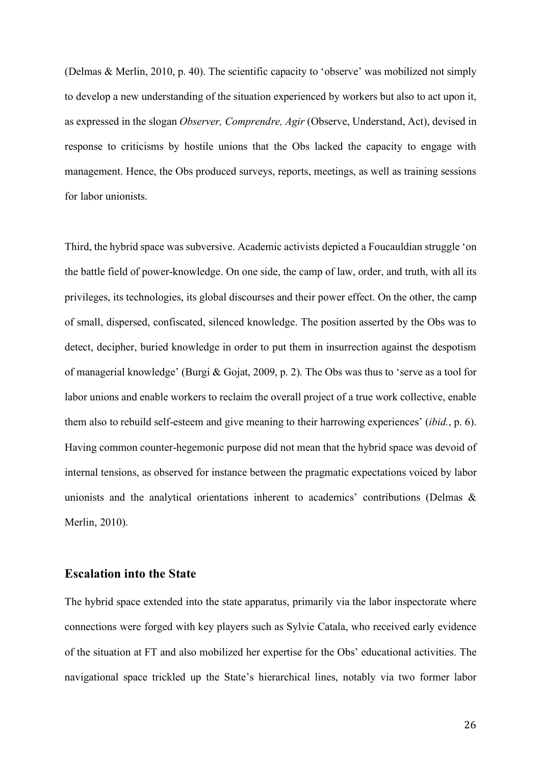(Delmas & Merlin, 2010, p. 40). The scientific capacity to 'observe' was mobilized not simply to develop a new understanding of the situation experienced by workers but also to act upon it, as expressed in the slogan *Observer, Comprendre, Agir* (Observe, Understand, Act), devised in response to criticisms by hostile unions that the Obs lacked the capacity to engage with management. Hence, the Obs produced surveys, reports, meetings, as well as training sessions for labor unionists.

Third, the hybrid space was subversive. Academic activists depicted a Foucauldian struggle 'on the battle field of power-knowledge. On one side, the camp of law, order, and truth, with all its privileges, its technologies, its global discourses and their power effect. On the other, the camp of small, dispersed, confiscated, silenced knowledge. The position asserted by the Obs was to detect, decipher, buried knowledge in order to put them in insurrection against the despotism of managerial knowledge' (Burgi & Gojat, 2009, p. 2). The Obs was thus to 'serve as a tool for labor unions and enable workers to reclaim the overall project of a true work collective, enable them also to rebuild self-esteem and give meaning to their harrowing experiences' (*ibid.*, p. 6). Having common counter-hegemonic purpose did not mean that the hybrid space was devoid of internal tensions, as observed for instance between the pragmatic expectations voiced by labor unionists and the analytical orientations inherent to academics' contributions (Delmas & Merlin, 2010).

## **Escalation into the State**

The hybrid space extended into the state apparatus, primarily via the labor inspectorate where connections were forged with key players such as Sylvie Catala, who received early evidence of the situation at FT and also mobilized her expertise for the Obs' educational activities. The navigational space trickled up the State's hierarchical lines, notably via two former labor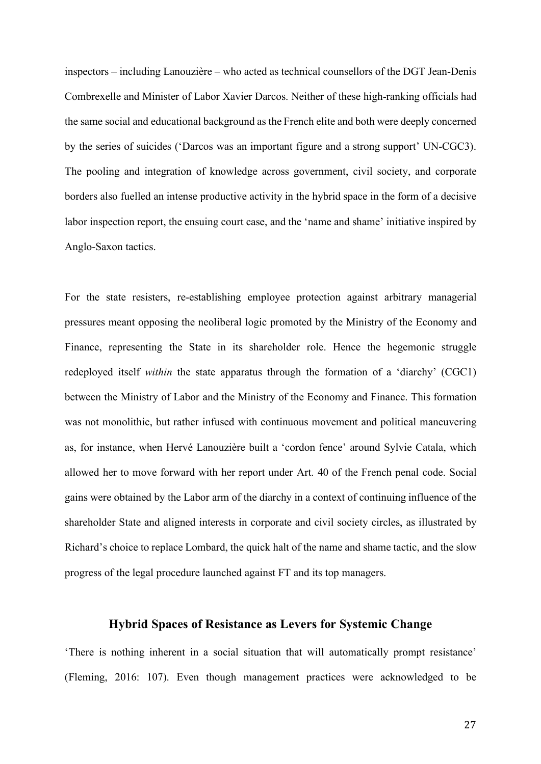inspectors – including Lanouzière – who acted as technical counsellors of the DGT Jean-Denis Combrexelle and Minister of Labor Xavier Darcos. Neither of these high-ranking officials had the same social and educational background as the French elite and both were deeply concerned by the series of suicides ('Darcos was an important figure and a strong support' UN-CGC3). The pooling and integration of knowledge across government, civil society, and corporate borders also fuelled an intense productive activity in the hybrid space in the form of a decisive labor inspection report, the ensuing court case, and the 'name and shame' initiative inspired by Anglo-Saxon tactics.

For the state resisters, re-establishing employee protection against arbitrary managerial pressures meant opposing the neoliberal logic promoted by the Ministry of the Economy and Finance, representing the State in its shareholder role. Hence the hegemonic struggle redeployed itself *within* the state apparatus through the formation of a 'diarchy' (CGC1) between the Ministry of Labor and the Ministry of the Economy and Finance. This formation was not monolithic, but rather infused with continuous movement and political maneuvering as, for instance, when Hervé Lanouzière built a 'cordon fence' around Sylvie Catala, which allowed her to move forward with her report under Art. 40 of the French penal code. Social gains were obtained by the Labor arm of the diarchy in a context of continuing influence of the shareholder State and aligned interests in corporate and civil society circles, as illustrated by Richard's choice to replace Lombard, the quick halt of the name and shame tactic, and the slow progress of the legal procedure launched against FT and its top managers.

## **Hybrid Spaces of Resistance as Levers for Systemic Change**

'There is nothing inherent in a social situation that will automatically prompt resistance' (Fleming, 2016: 107). Even though management practices were acknowledged to be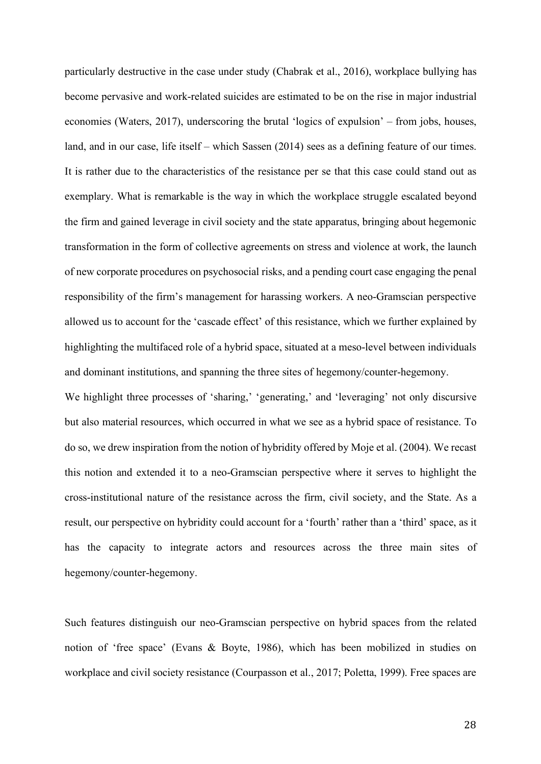particularly destructive in the case under study (Chabrak et al., 2016), workplace bullying has become pervasive and work-related suicides are estimated to be on the rise in major industrial economies (Waters, 2017), underscoring the brutal 'logics of expulsion' – from jobs, houses, land, and in our case, life itself – which Sassen (2014) sees as a defining feature of our times. It is rather due to the characteristics of the resistance per se that this case could stand out as exemplary. What is remarkable is the way in which the workplace struggle escalated beyond the firm and gained leverage in civil society and the state apparatus, bringing about hegemonic transformation in the form of collective agreements on stress and violence at work, the launch of new corporate procedures on psychosocial risks, and a pending court case engaging the penal responsibility of the firm's management for harassing workers. A neo-Gramscian perspective allowed us to account for the 'cascade effect' of this resistance, which we further explained by highlighting the multifaced role of a hybrid space, situated at a meso-level between individuals and dominant institutions, and spanning the three sites of hegemony/counter-hegemony.

We highlight three processes of 'sharing,' 'generating,' and 'leveraging' not only discursive but also material resources, which occurred in what we see as a hybrid space of resistance. To do so, we drew inspiration from the notion of hybridity offered by Moje et al. (2004). We recast this notion and extended it to a neo-Gramscian perspective where it serves to highlight the cross-institutional nature of the resistance across the firm, civil society, and the State. As a result, our perspective on hybridity could account for a 'fourth' rather than a 'third' space, as it has the capacity to integrate actors and resources across the three main sites of hegemony/counter-hegemony.

Such features distinguish our neo-Gramscian perspective on hybrid spaces from the related notion of 'free space' (Evans & Boyte, 1986), which has been mobilized in studies on workplace and civil society resistance (Courpasson et al., 2017; Poletta, 1999). Free spaces are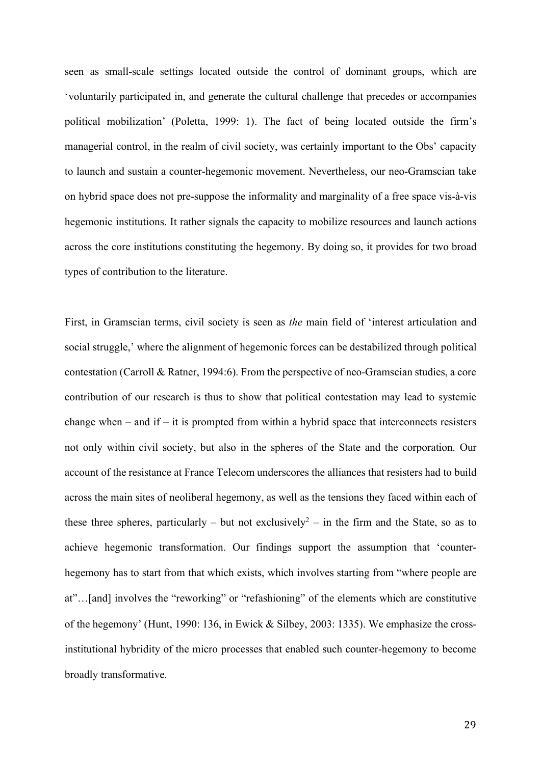seen as small-scale settings located outside the control of dominant groups, which are 'voluntarily participated in, and generate the cultural challenge that precedes or accompanies political mobilization' (Poletta, 1999: 1). The fact of being located outside the firm's managerial control, in the realm of civil society, was certainly important to the Obs' capacity to launch and sustain a counter-hegemonic movement. Nevertheless, our neo-Gramscian take on hybrid space does not pre-suppose the informality and marginality of a free space vis-à-vis hegemonic institutions. It rather signals the capacity to mobilize resources and launch actions across the core institutions constituting the hegemony. By doing so, it provides for two broad types of contribution to the literature.

First, in Gramscian terms, civil society is seen as *the* main field of 'interest articulation and social struggle,' where the alignment of hegemonic forces can be destabilized through political contestation (Carroll & Ratner, 1994:6). From the perspective of neo-Gramscian studies, a core contribution of our research is thus to show that political contestation may lead to systemic change when – and if – it is prompted from within a hybrid space that interconnects resisters not only within civil society, but also in the spheres of the State and the corporation. Our account of the resistance at France Telecom underscores the alliances that resisters had to build across the main sites of neoliberal hegemony, as well as the tensions they faced within each of these three spheres, particularly – but not exclusively<sup>2</sup> – in the firm and the State, so as to achieve hegemonic transformation. Our findings support the assumption that 'counterhegemony has to start from that which exists, which involves starting from "where people are at"…[and] involves the "reworking" or "refashioning" of the elements which are constitutive of the hegemony' (Hunt, 1990: 136, in Ewick & Silbey, 2003: 1335). We emphasize the crossinstitutional hybridity of the micro processes that enabled such counter-hegemony to become broadly transformative.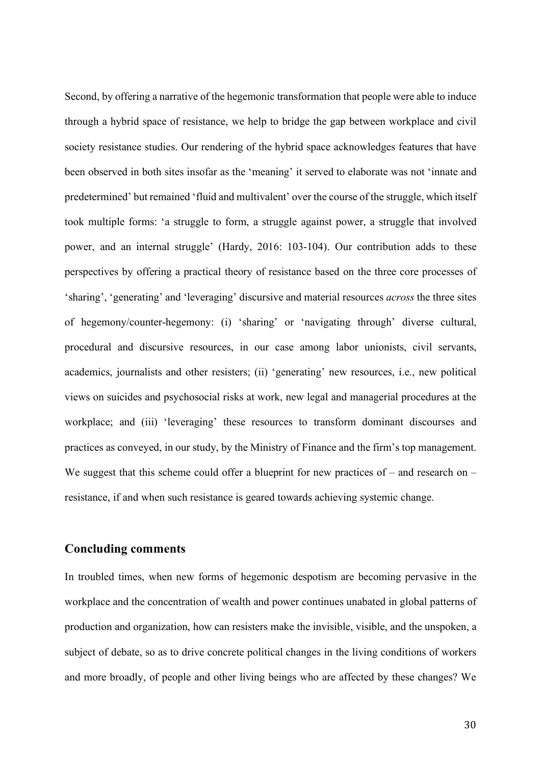Second, by offering a narrative of the hegemonic transformation that people were able to induce through a hybrid space of resistance, we help to bridge the gap between workplace and civil society resistance studies. Our rendering of the hybrid space acknowledges features that have been observed in both sites insofar as the 'meaning' it served to elaborate was not 'innate and predetermined' but remained 'fluid and multivalent' over the course of the struggle, which itself took multiple forms: 'a struggle to form, a struggle against power, a struggle that involved power, and an internal struggle' (Hardy, 2016: 103-104). Our contribution adds to these perspectives by offering a practical theory of resistance based on the three core processes of 'sharing', 'generating' and 'leveraging' discursive and material resources *across* the three sites of hegemony/counter-hegemony: (i) 'sharing' or 'navigating through' diverse cultural, procedural and discursive resources, in our case among labor unionists, civil servants, academics, journalists and other resisters; (ii) 'generating' new resources, i.e., new political views on suicides and psychosocial risks at work, new legal and managerial procedures at the workplace; and (iii) 'leveraging' these resources to transform dominant discourses and practices as conveyed, in our study, by the Ministry of Finance and the firm's top management. We suggest that this scheme could offer a blueprint for new practices of – and research on – resistance, if and when such resistance is geared towards achieving systemic change.

#### **Concluding comments**

In troubled times, when new forms of hegemonic despotism are becoming pervasive in the workplace and the concentration of wealth and power continues unabated in global patterns of production and organization, how can resisters make the invisible, visible, and the unspoken, a subject of debate, so as to drive concrete political changes in the living conditions of workers and more broadly, of people and other living beings who are affected by these changes? We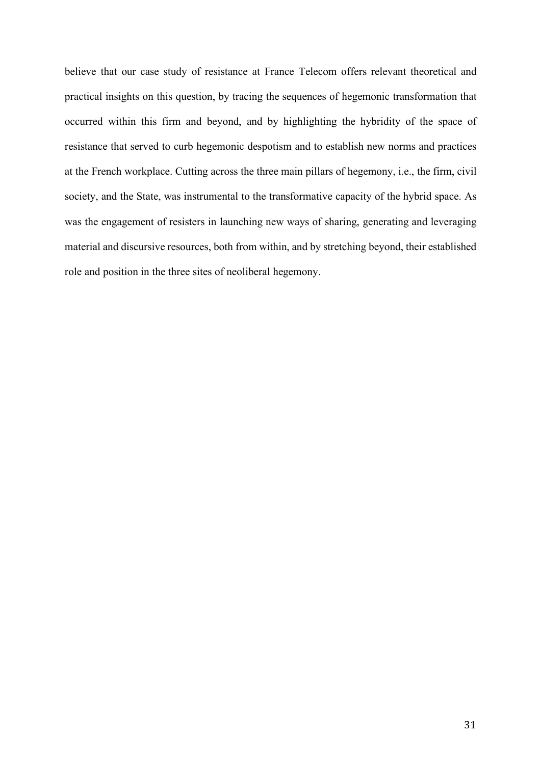believe that our case study of resistance at France Telecom offers relevant theoretical and practical insights on this question, by tracing the sequences of hegemonic transformation that occurred within this firm and beyond, and by highlighting the hybridity of the space of resistance that served to curb hegemonic despotism and to establish new norms and practices at the French workplace. Cutting across the three main pillars of hegemony, i.e., the firm, civil society, and the State, was instrumental to the transformative capacity of the hybrid space. As was the engagement of resisters in launching new ways of sharing, generating and leveraging material and discursive resources, both from within, and by stretching beyond, their established role and position in the three sites of neoliberal hegemony.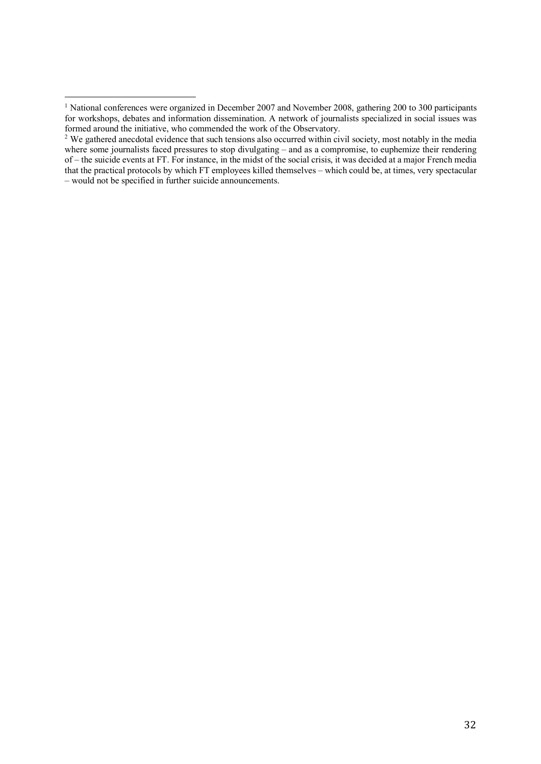1

<sup>&</sup>lt;sup>1</sup> National conferences were organized in December 2007 and November 2008, gathering 200 to 300 participants for workshops, debates and information dissemination. A network of journalists specialized in social issues was formed around the initiative, who commended the work of the Observatory.

<sup>&</sup>lt;sup>2</sup> We gathered anecdotal evidence that such tensions also occurred within civil society, most notably in the media where some journalists faced pressures to stop divulgating – and as a compromise, to euphemize their rendering of – the suicide events at FT. For instance, in the midst of the social crisis, it was decided at a major French media that the practical protocols by which FT employees killed themselves – which could be, at times, very spectacular – would not be specified in further suicide announcements.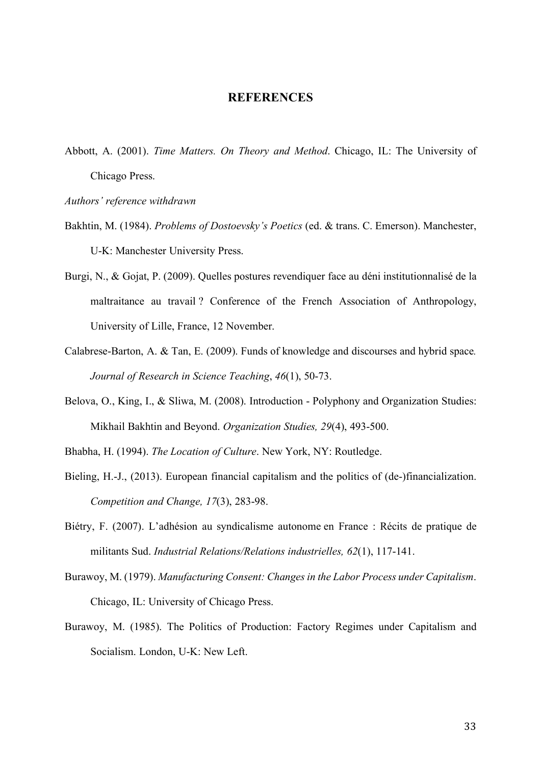#### **REFERENCES**

- Abbott, A. (2001). *Time Matters. On Theory and Method*. Chicago, IL: The University of Chicago Press.
- *Authors' reference withdrawn*
- Bakhtin, M. (1984). *Problems of Dostoevsky's Poetics* (ed. & trans. C. Emerson). Manchester, U-K: Manchester University Press.
- Burgi, N., & Gojat, P. (2009). Quelles postures revendiquer face au déni institutionnalisé de la maltraitance au travail ? Conference of the French Association of Anthropology, University of Lille, France, 12 November.
- Calabrese-Barton, A. & Tan, E. (2009). Funds of knowledge and discourses and hybrid space*. Journal of Research in Science Teaching*, *46*(1), 50-73.
- Belova, O., King, I., & Sliwa, M. (2008). Introduction Polyphony and Organization Studies: Mikhail Bakhtin and Beyond. *Organization Studies, 29*(4), 493-500.
- Bhabha, H. (1994). *The Location of Culture*. New York, NY: Routledge.
- Bieling, H.-J., (2013). European financial capitalism and the politics of (de-)financialization. *Competition and Change, 17*(3), 283-98.
- Biétry, F. (2007). L'adhésion au syndicalisme autonome en France : Récits de pratique de militants Sud. *Industrial Relations/Relations industrielles, 62*(1), 117-141.
- Burawoy, M. (1979). *Manufacturing Consent: Changes in the Labor Process under Capitalism*. Chicago, IL: University of Chicago Press.
- Burawoy, M. (1985). The Politics of Production: Factory Regimes under Capitalism and Socialism. London, U-K: New Left.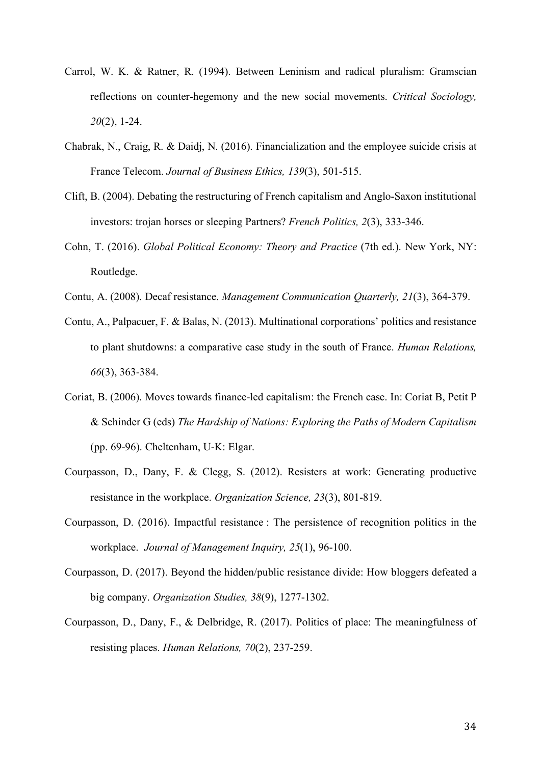- Carrol, W. K. & Ratner, R. (1994). Between Leninism and radical pluralism: Gramscian reflections on counter-hegemony and the new social movements. *Critical Sociology, 20*(2), 1-24.
- Chabrak, N., Craig, R. & Daidj, N. (2016). Financialization and the employee suicide crisis at France Telecom. *Journal of Business Ethics, 139*(3), 501-515.
- Clift, B. (2004). Debating the restructuring of French capitalism and Anglo-Saxon institutional investors: trojan horses or sleeping Partners? *French Politics, 2*(3), 333-346.
- Cohn, T. (2016). *Global Political Economy: Theory and Practice* (7th ed.). New York, NY: Routledge.
- Contu, A. (2008). Decaf resistance. *Management Communication Quarterly, 21*(3), 364-379.
- Contu, A., Palpacuer, F. & Balas, N. (2013). Multinational corporations' politics and resistance to plant shutdowns: a comparative case study in the south of France. *Human Relations, 66*(3), 363-384.
- Coriat, B. (2006). Moves towards finance-led capitalism: the French case. In: Coriat B, Petit P & Schinder G (eds) *The Hardship of Nations: Exploring the Paths of Modern Capitalism* (pp. 69-96). Cheltenham, U-K: Elgar.
- Courpasson, D., Dany, F. & Clegg, S. (2012). Resisters at work: Generating productive resistance in the workplace. *Organization Science, 23*(3), 801-819.
- Courpasson, D. (2016). Impactful resistance : The persistence of recognition politics in the workplace. *Journal of Management Inquiry, 25*(1), 96-100.
- Courpasson, D. (2017). Beyond the hidden/public resistance divide: How bloggers defeated a big company. *Organization Studies, 38*(9), 1277-1302.
- Courpasson, D., Dany, F., & Delbridge, R. (2017). Politics of place: The meaningfulness of resisting places. *Human Relations, 70*(2), 237-259.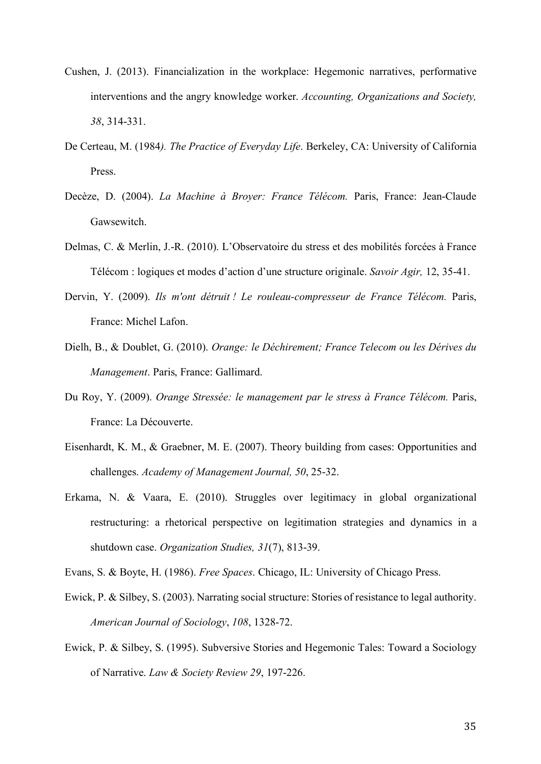- Cushen, J. (2013). Financialization in the workplace: Hegemonic narratives, performative interventions and the angry knowledge worker. *Accounting, Organizations and Society, 38*, 314-331.
- De Certeau, M. (1984*). The Practice of Everyday Life*. Berkeley, CA: University of California **Press**.
- Decèze, D. (2004). *La Machine à Broyer: France Télécom.* Paris, France: Jean-Claude Gawsewitch.
- Delmas, C. & Merlin, J.-R. (2010). L'Observatoire du stress et des mobilités forcées à France Télécom : logiques et modes d'action d'une structure originale. *Savoir Agir,* 12, 35-41.
- Dervin, Y. (2009). *Ils m'ont détruit ! Le rouleau-compresseur de France Télécom.* Paris, France: Michel Lafon.
- Dielh, B., & Doublet, G. (2010). *Orange: le Déchirement; France Telecom ou les Dérives du Management*. Paris, France: Gallimard.
- Du Roy, Y. (2009). *Orange Stressée: le management par le stress à France Télécom.* Paris, France: La Découverte.
- Eisenhardt, K. M., & Graebner, M. E. (2007). Theory building from cases: Opportunities and challenges. *Academy of Management Journal, 50*, 25-32.
- Erkama, N. & Vaara, E. (2010). Struggles over legitimacy in global organizational restructuring: a rhetorical perspective on legitimation strategies and dynamics in a shutdown case. *Organization Studies, 31*(7), 813-39.
- Evans, S. & Boyte, H. (1986). *Free Spaces*. Chicago, IL: University of Chicago Press.
- Ewick, P. & Silbey, S. (2003). Narrating social structure: Stories of resistance to legal authority. *American Journal of Sociology*, *108*, 1328-72.
- Ewick, P. & Silbey, S. (1995). Subversive Stories and Hegemonic Tales: Toward a Sociology of Narrative. *Law & Society Review 29*, 197-226.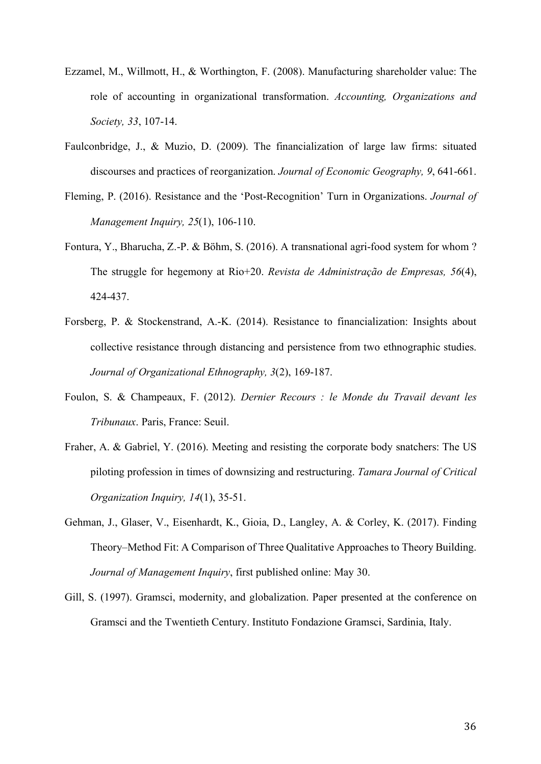- Ezzamel, M., Willmott, H., & Worthington, F. (2008). Manufacturing shareholder value: The role of accounting in organizational transformation. *Accounting, Organizations and Society, 33*, 107-14.
- Faulconbridge, J., & Muzio, D. (2009). The financialization of large law firms: situated discourses and practices of reorganization. *Journal of Economic Geography, 9*, 641-661.
- Fleming, P. (2016). Resistance and the 'Post-Recognition' Turn in Organizations. *Journal of Management Inquiry, 25*(1), 106-110.
- Fontura, Y., Bharucha, Z.-P. & Böhm, S. (2016). A transnational agri-food system for whom ? The struggle for hegemony at Rio+20. *Revista de Administração de Empresas, 56*(4), 424-437.
- Forsberg, P. & Stockenstrand, A.-K. (2014). Resistance to financialization: Insights about collective resistance through distancing and persistence from two ethnographic studies. *Journal of Organizational Ethnography, 3*(2), 169-187.
- Foulon, S. & Champeaux, F. (2012). *Dernier Recours : le Monde du Travail devant les Tribunaux*. Paris, France: Seuil.
- Fraher, A. & Gabriel, Y. (2016). Meeting and resisting the corporate body snatchers: The US piloting profession in times of downsizing and restructuring. *Tamara Journal of Critical Organization Inquiry, 14*(1), 35-51.
- Gehman, J., Glaser, V., Eisenhardt, K., Gioia, D., Langley, A. & Corley, K. (2017). Finding Theory–Method Fit: A Comparison of Three Qualitative Approaches to Theory Building. *Journal of Management Inquiry*, first published online: May 30.
- Gill, S. (1997). Gramsci, modernity, and globalization. Paper presented at the conference on Gramsci and the Twentieth Century. Instituto Fondazione Gramsci, Sardinia, Italy.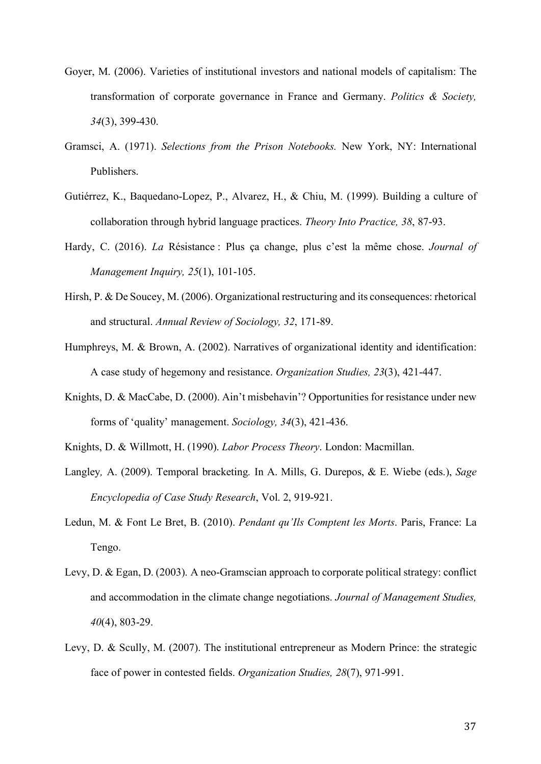- Goyer, M. (2006). Varieties of institutional investors and national models of capitalism: The transformation of corporate governance in France and Germany. *Politics & Society, 34*(3), 399-430.
- Gramsci, A. (1971). *Selections from the Prison Notebooks.* New York, NY: International Publishers.
- Gutiérrez, K., Baquedano-Lopez, P., Alvarez, H., & Chiu, M. (1999). Building a culture of collaboration through hybrid language practices. *Theory Into Practice, 38*, 87-93.
- Hardy, C. (2016). *La* Résistance : Plus ça change, plus c'est la même chose. *Journal of Management Inquiry, 25*(1), 101-105.
- Hirsh, P. & De Soucey, M. (2006). Organizational restructuring and its consequences: rhetorical and structural. *Annual Review of Sociology, 32*, 171-89.
- Humphreys, M. & Brown, A. (2002). Narratives of organizational identity and identification: A case study of hegemony and resistance. *Organization Studies, 23*(3), 421-447.
- Knights, D. & MacCabe, D. (2000). Ain't misbehavin'? Opportunities for resistance under new forms of 'quality' management. *Sociology, 34*(3), 421-436.
- Knights, D. & Willmott, H. (1990). *Labor Process Theory*. London: Macmillan.
- Langley*,* A. (2009). Temporal bracketing*.* In A. Mills, G. Durepos, & E. Wiebe (eds.), *Sage Encyclopedia of Case Study Research*, Vol. 2, 919-921.
- Ledun, M. & Font Le Bret, B. (2010). *Pendant qu'Ils Comptent les Morts*. Paris, France: La Tengo.
- Levy, D. & Egan, D. (2003). A neo-Gramscian approach to corporate political strategy: conflict and accommodation in the climate change negotiations. *Journal of Management Studies, 40*(4), 803-29.
- Levy, D. & Scully, M. (2007). The institutional entrepreneur as Modern Prince: the strategic face of power in contested fields. *Organization Studies, 28*(7), 971-991.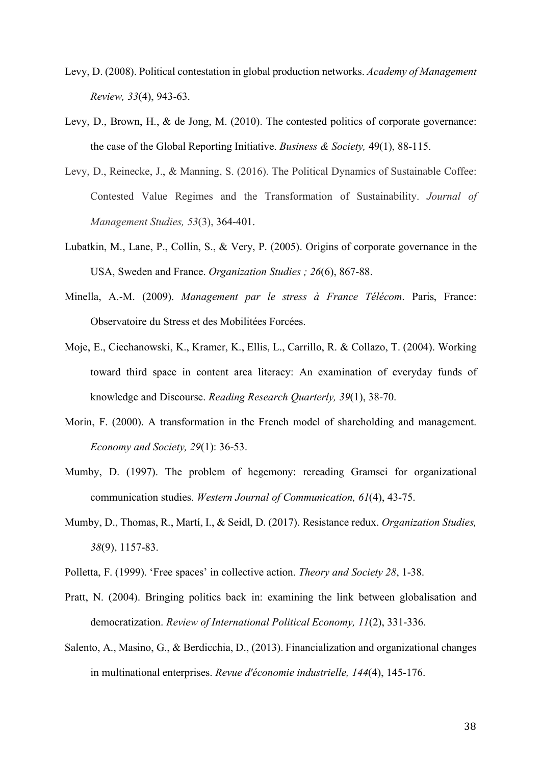- Levy, D. (2008). Political contestation in global production networks. *Academy of Management Review, 33*(4), 943-63.
- Levy, D., Brown, H., & de Jong, M. (2010). The contested politics of corporate governance: the case of the Global Reporting Initiative. *Business & Society,* 49(1), 88-115.
- Levy, D., Reinecke, J., & Manning, S. (2016). The Political Dynamics of Sustainable Coffee: Contested Value Regimes and the Transformation of Sustainability. *Journal of Management Studies, 53*(3), 364-401.
- Lubatkin, M., Lane, P., Collin, S., & Very, P. (2005). Origins of corporate governance in the USA, Sweden and France. *Organization Studies ; 26*(6), 867-88.
- Minella, A.-M. (2009). *Management par le stress à France Télécom*. Paris, France: Observatoire du Stress et des Mobilitées Forcées.
- Moje, E., Ciechanowski, K., Kramer, K., Ellis, L., Carrillo, R. & Collazo, T. (2004). Working toward third space in content area literacy: An examination of everyday funds of knowledge and Discourse. *Reading Research Quarterly, 39*(1), 38-70.
- Morin, F. (2000). A transformation in the French model of shareholding and management. *Economy and Society, 29*(1): 36-53.
- Mumby, D. (1997). The problem of hegemony: rereading Gramsci for organizational communication studies. *Western Journal of Communication, 61*(4), 43-75.
- Mumby, D., Thomas, R., Martí, I., & Seidl, D. (2017). Resistance redux. *Organization Studies, 38*(9), 1157-83.
- Polletta, F. (1999). 'Free spaces' in collective action. *Theory and Society 28*, 1-38.
- Pratt, N. (2004). Bringing politics back in: examining the link between globalisation and democratization. *Review of International Political Economy, 11*(2), 331-336.
- Salento, A., Masino, G., & Berdicchia, D., (2013). Financialization and organizational changes in multinational enterprises. *Revue d'économie industrielle, 144*(4), 145-176.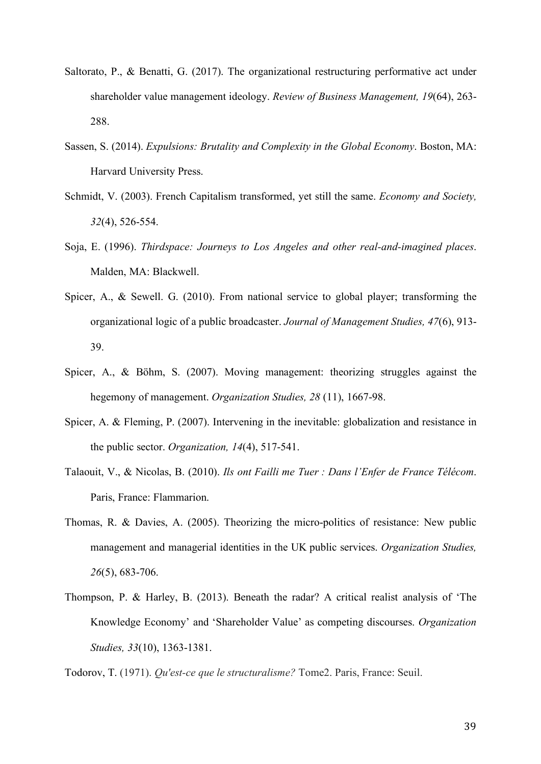- Saltorato, P., & Benatti, G. (2017). The organizational restructuring performative act under shareholder value management ideology. *Review of Business Management, 19*(64), 263- 288.
- Sassen, S. (2014). *Expulsions: Brutality and Complexity in the Global Economy*. Boston, MA: Harvard University Press.
- Schmidt, V. (2003). French Capitalism transformed, yet still the same. *Economy and Society, 32*(4), 526-554.
- Soja, E. (1996). *Thirdspace: Journeys to Los Angeles and other real-and-imagined places*. Malden, MA: Blackwell.
- Spicer, A., & Sewell. G. (2010). From national service to global player; transforming the organizational logic of a public broadcaster. *Journal of Management Studies, 47*(6), 913- 39.
- Spicer, A., & Böhm, S. (2007). Moving management: theorizing struggles against the hegemony of management. *Organization Studies, 28* (11), 1667-98.
- Spicer, A. & Fleming, P. (2007). Intervening in the inevitable: globalization and resistance in the public sector. *Organization, 14*(4), 517-541.
- Talaouit, V., & Nicolas, B. (2010). *Ils ont Failli me Tuer : Dans l'Enfer de France Télécom*. Paris, France: Flammarion.
- Thomas, R. & Davies, A. (2005). Theorizing the micro-politics of resistance: New public management and managerial identities in the UK public services. *Organization Studies, 26*(5), 683-706.
- Thompson, P. & Harley, B. (2013). Beneath the radar? A critical realist analysis of 'The Knowledge Economy' and 'Shareholder Value' as competing discourses. *Organization Studies, 33*(10), 1363-1381.

Todorov, T. (1971). *Qu'est-ce que le structuralisme?* Tome2. Paris, France: Seuil.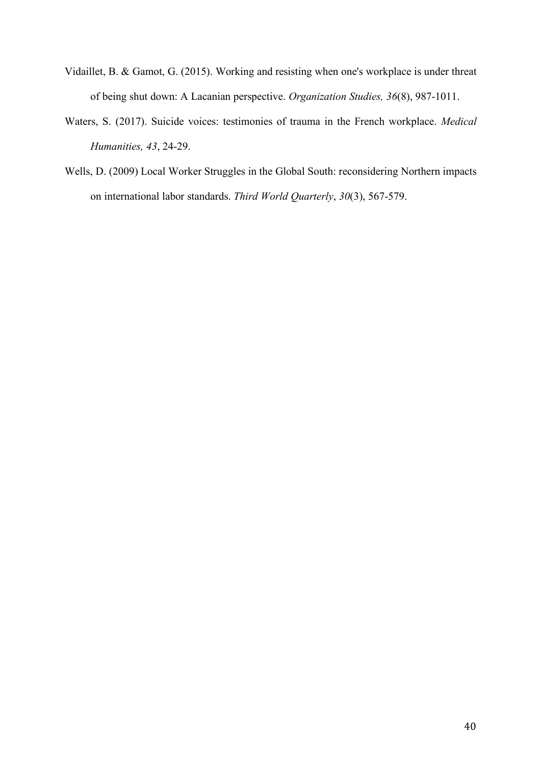- Vidaillet, B. & Gamot, G. (2015). Working and resisting when one's workplace is under threat of being shut down: A Lacanian perspective. *Organization Studies, 36*(8), 987-1011.
- Waters, S. (2017). Suicide voices: testimonies of trauma in the French workplace. *Medical Humanities, 43*, 24-29.
- Wells, D. (2009) Local Worker Struggles in the Global South: reconsidering Northern impacts on international labor standards. *Third World Quarterly*, *30*(3), 567-579.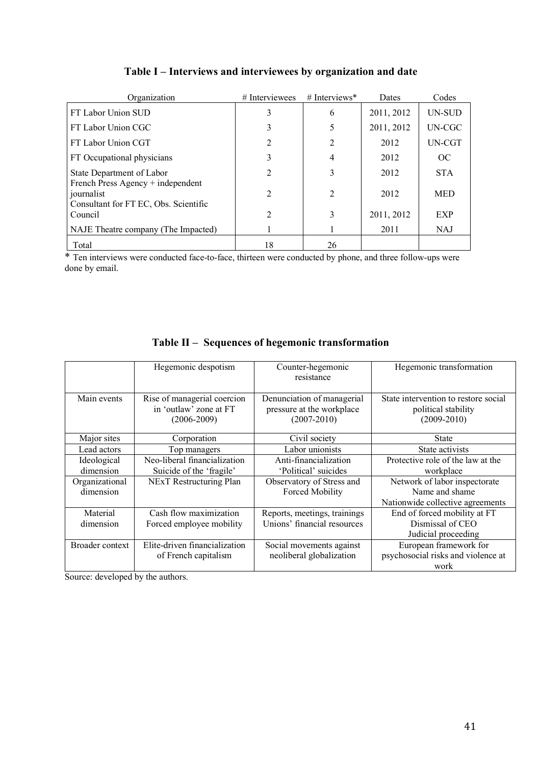| Organization                                                                             | # Interviewees              | # Interviews*  | Dates      | Codes      |
|------------------------------------------------------------------------------------------|-----------------------------|----------------|------------|------------|
| FT Labor Union SUD                                                                       | 3                           | 6              | 2011, 2012 | UN-SUD     |
| FT Labor Union CGC                                                                       | 3                           | 5              | 2011, 2012 | UN-CGC     |
| FT Labor Union CGT                                                                       | $\overline{2}$              | 2              | 2012       | UN-CGT     |
| FT Occupational physicians                                                               | 3                           | 4              | 2012       | OC         |
| State Department of Labor                                                                | $\overline{2}$              | 3              | 2012       | <b>STA</b> |
| French Press Agency + independent<br>journalist<br>Consultant for FT EC, Obs. Scientific | $\mathcal{D}_{\mathcal{L}}$ | $\overline{2}$ | 2012       | <b>MED</b> |
| Council                                                                                  | $\mathcal{D}_{\mathcal{L}}$ | 3              | 2011, 2012 | <b>EXP</b> |
| NAJE Theatre company (The Impacted)                                                      |                             |                | 2011       | <b>NAJ</b> |
| Total                                                                                    | 18                          | 26             |            |            |

# **Table I – Interviews and interviewees by organization and date**

\* Ten interviews were conducted face-to-face, thirteen were conducted by phone, and three follow-ups were done by email.

|                        | Hegemonic despotism                                                      | Counter-hegemonic<br>resistance                                            | Hegemonic transformation                                                       |
|------------------------|--------------------------------------------------------------------------|----------------------------------------------------------------------------|--------------------------------------------------------------------------------|
| Main events            | Rise of managerial coercion<br>in 'outlaw' zone at FT<br>$(2006 - 2009)$ | Denunciation of managerial<br>pressure at the workplace<br>$(2007 - 2010)$ | State intervention to restore social<br>political stability<br>$(2009 - 2010)$ |
| Major sites            | Corporation                                                              | Civil society                                                              | <b>State</b>                                                                   |
| Lead actors            | Top managers                                                             | Labor unionists                                                            | State activists                                                                |
| Ideological            | Neo-liberal financialization                                             | Anti-financialization                                                      | Protective role of the law at the                                              |
| dimension              | Suicide of the 'fragile'                                                 | 'Political' suicides                                                       | workplace                                                                      |
| Organizational         | NExT Restructuring Plan                                                  | Observatory of Stress and                                                  | Network of labor inspectorate                                                  |
| dimension              |                                                                          | <b>Forced Mobility</b>                                                     | Name and shame                                                                 |
|                        |                                                                          |                                                                            | Nationwide collective agreements                                               |
| Material               | Cash flow maximization                                                   | Reports, meetings, trainings                                               | End of forced mobility at FT                                                   |
| dimension              | Forced employee mobility                                                 | Unions' financial resources                                                | Dismissal of CEO                                                               |
|                        |                                                                          |                                                                            | Judicial proceeding                                                            |
| <b>Broader context</b> | Elite-driven financialization                                            | Social movements against                                                   | European framework for                                                         |
|                        | of French capitalism                                                     | neoliberal globalization                                                   | psychosocial risks and violence at                                             |
|                        |                                                                          |                                                                            | work                                                                           |

# **Table II – Sequences of hegemonic transformation**

Source: developed by the authors.